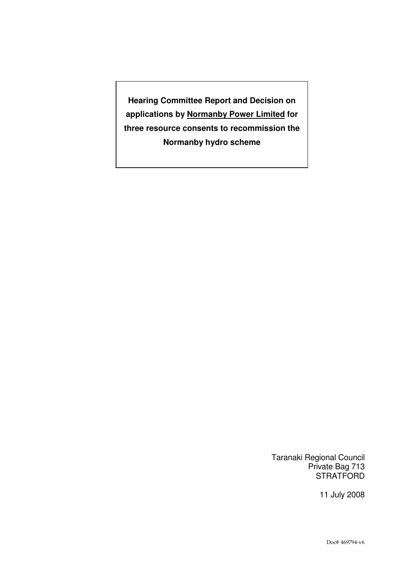**Hearing Committee Report and Decision on applications by Normanby Power Limited for three resource consents to recommission the Normanby hydro scheme** 

> Taranaki Regional Council Private Bag 713 **STRATFORD**

> > 11 July 2008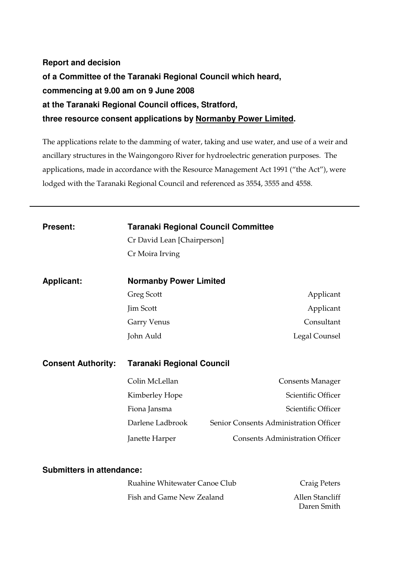# **Report and decision of a Committee of the Taranaki Regional Council which heard, commencing at 9.00 am on 9 June 2008 at the Taranaki Regional Council offices, Stratford, three resource consent applications by Normanby Power Limited.**

The applications relate to the damming of water, taking and use water, and use of a weir and ancillary structures in the Waingongoro River for hydroelectric generation purposes. The applications, made in accordance with the Resource Management Act 1991 ("the Act"), were lodged with the Taranaki Regional Council and referenced as 3554, 3555 and 4558.

| <b>Present:</b>                  | <b>Taranaki Regional Council Committee</b> |                                        |  |  |
|----------------------------------|--------------------------------------------|----------------------------------------|--|--|
|                                  | Cr David Lean [Chairperson]                |                                        |  |  |
|                                  | Cr Moira Irving                            |                                        |  |  |
|                                  |                                            |                                        |  |  |
| <b>Applicant:</b>                | <b>Normanby Power Limited</b>              |                                        |  |  |
|                                  | <b>Greg Scott</b>                          | Applicant                              |  |  |
|                                  | <b>Jim Scott</b>                           | Applicant                              |  |  |
|                                  | <b>Garry Venus</b>                         | Consultant                             |  |  |
|                                  | John Auld                                  | Legal Counsel                          |  |  |
|                                  |                                            |                                        |  |  |
| <b>Consent Authority:</b>        | <b>Taranaki Regional Council</b>           |                                        |  |  |
|                                  | Colin McLellan                             | <b>Consents Manager</b>                |  |  |
|                                  | Kimberley Hope                             | Scientific Officer                     |  |  |
|                                  | Fiona Jansma                               | Scientific Officer                     |  |  |
|                                  | Darlene Ladbrook                           | Senior Consents Administration Officer |  |  |
|                                  | Janette Harper                             | <b>Consents Administration Officer</b> |  |  |
|                                  |                                            |                                        |  |  |
| <b>Submitters in attendance:</b> |                                            |                                        |  |  |
|                                  | Ruahine Whitewater Canoe Club              | <b>Craig Peters</b>                    |  |  |
|                                  | Fish and Game New Zealand                  | <b>Allen Stancliff</b><br>Daren Smith  |  |  |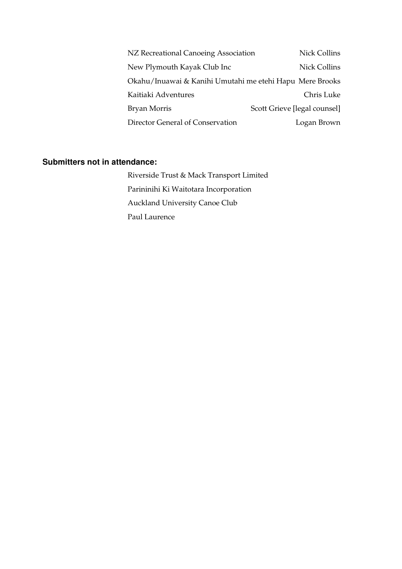| NZ Recreational Canoeing Association                     | Nick Collins                 |
|----------------------------------------------------------|------------------------------|
| New Plymouth Kayak Club Inc                              | Nick Collins                 |
| Okahu/Inuawai & Kanihi Umutahi me etehi Hapu Mere Brooks |                              |
| Kaitiaki Adventures                                      | Chris Luke                   |
| Bryan Morris                                             | Scott Grieve [legal counsel] |
| Director General of Conservation                         | Logan Brown                  |

## **Submitters not in attendance:**

Riverside Trust & Mack Transport Limited Parininihi Ki Waitotara Incorporation Auckland University Canoe Club Paul Laurence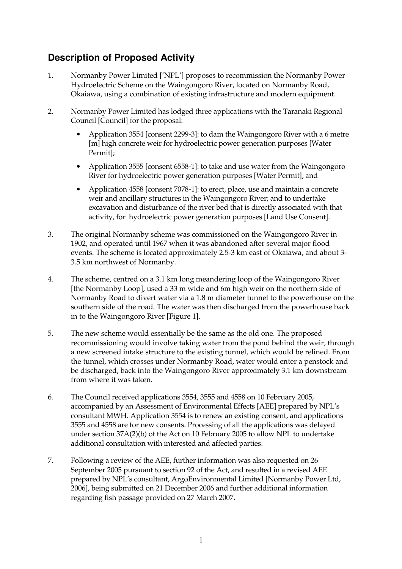# **Description of Proposed Activity**

- 1. Normanby Power Limited ['NPL'] proposes to recommission the Normanby Power Hydroelectric Scheme on the Waingongoro River, located on Normanby Road, Okaiawa, using a combination of existing infrastructure and modern equipment.
- 2. Normanby Power Limited has lodged three applications with the Taranaki Regional Council [Council] for the proposal:
	- Application 3554 [consent 2299-3]: to dam the Waingongoro River with a 6 metre [m] high concrete weir for hydroelectric power generation purposes [Water Permit];
	- Application 3555 [consent 6558-1]: to take and use water from the Waingongoro River for hydroelectric power generation purposes [Water Permit]; and
	- Application 4558 [consent 7078-1]: to erect, place, use and maintain a concrete weir and ancillary structures in the Waingongoro River; and to undertake excavation and disturbance of the river bed that is directly associated with that activity, for hydroelectric power generation purposes [Land Use Consent].
- 3. The original Normanby scheme was commissioned on the Waingongoro River in 1902, and operated until 1967 when it was abandoned after several major flood events. The scheme is located approximately 2.5-3 km east of Okaiawa, and about 3- 3.5 km northwest of Normanby.
- 4. The scheme, centred on a 3.1 km long meandering loop of the Waingongoro River [the Normanby Loop], used a 33 m wide and 6m high weir on the northern side of Normanby Road to divert water via a 1.8 m diameter tunnel to the powerhouse on the southern side of the road. The water was then discharged from the powerhouse back in to the Waingongoro River [Figure 1].
- 5. The new scheme would essentially be the same as the old one. The proposed recommissioning would involve taking water from the pond behind the weir, through a new screened intake structure to the existing tunnel, which would be relined. From the tunnel, which crosses under Normanby Road, water would enter a penstock and be discharged, back into the Waingongoro River approximately 3.1 km downstream from where it was taken.
- 6. The Council received applications 3554, 3555 and 4558 on 10 February 2005, accompanied by an Assessment of Environmental Effects [AEE] prepared by NPL's consultant MWH. Application 3554 is to renew an existing consent, and applications 3555 and 4558 are for new consents. Processing of all the applications was delayed under section 37A(2)(b) of the Act on 10 February 2005 to allow NPL to undertake additional consultation with interested and affected parties.
- 7. Following a review of the AEE, further information was also requested on 26 September 2005 pursuant to section 92 of the Act, and resulted in a revised AEE prepared by NPL's consultant, ArgoEnvironmental Limited [Normanby Power Ltd, 2006], being submitted on 21 December 2006 and further additional information regarding fish passage provided on 27 March 2007.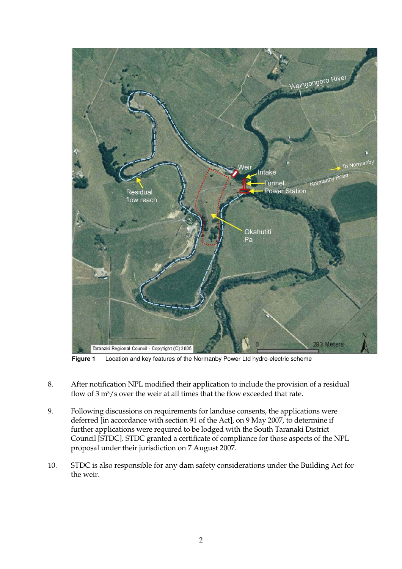

**Figure 1** Location and key features of the Normanby Power Ltd hydro-electric scheme

- 8. After notification NPL modified their application to include the provision of a residual flow of 3 m<sup>3</sup>/s over the weir at all times that the flow exceeded that rate.
- 9. Following discussions on requirements for landuse consents, the applications were deferred [in accordance with section 91 of the Act], on 9 May 2007, to determine if further applications were required to be lodged with the South Taranaki District Council [STDC]. STDC granted a certificate of compliance for those aspects of the NPL proposal under their jurisdiction on 7 August 2007.
- 10. STDC is also responsible for any dam safety considerations under the Building Act for the weir.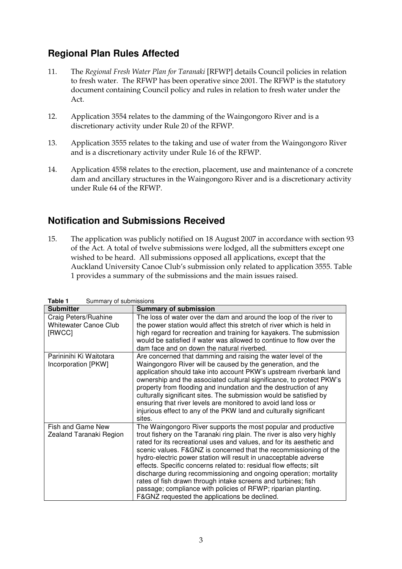# **Regional Plan Rules Affected**

- 11. The *Regional Fresh Water Plan for Taranaki* [RFWP] details Council policies in relation to fresh water. The RFWP has been operative since 2001. The RFWP is the statutory document containing Council policy and rules in relation to fresh water under the Act.
- 12. Application 3554 relates to the damming of the Waingongoro River and is a discretionary activity under Rule 20 of the RFWP.
- 13. Application 3555 relates to the taking and use of water from the Waingongoro River and is a discretionary activity under Rule 16 of the RFWP.
- 14. Application 4558 relates to the erection, placement, use and maintenance of a concrete dam and ancillary structures in the Waingongoro River and is a discretionary activity under Rule 64 of the RFWP.

# **Notification and Submissions Received**

15. The application was publicly notified on 18 August 2007 in accordance with section 93 of the Act. A total of twelve submissions were lodged, all the submitters except one wished to be heard. All submissions opposed all applications, except that the Auckland University Canoe Club's submission only related to application 3555. Table 1 provides a summary of the submissions and the main issues raised.

| ו שוטו<br><b>Dammary or SabimsSions</b>                        |                                                                                                                                                                                                                                                                                                                                                                                                                                                                                                                                                                                                                                                                                           |  |
|----------------------------------------------------------------|-------------------------------------------------------------------------------------------------------------------------------------------------------------------------------------------------------------------------------------------------------------------------------------------------------------------------------------------------------------------------------------------------------------------------------------------------------------------------------------------------------------------------------------------------------------------------------------------------------------------------------------------------------------------------------------------|--|
| <b>Submitter</b>                                               | <b>Summary of submission</b>                                                                                                                                                                                                                                                                                                                                                                                                                                                                                                                                                                                                                                                              |  |
| Craig Peters/Ruahine<br><b>Whitewater Canoe Club</b><br>[RWCC] | The loss of water over the dam and around the loop of the river to<br>the power station would affect this stretch of river which is held in<br>high regard for recreation and training for kayakers. The submission<br>would be satisfied if water was allowed to continue to flow over the<br>dam face and on down the natural riverbed.                                                                                                                                                                                                                                                                                                                                                 |  |
| Parininihi Ki Waitotara<br>Incorporation [PKW]                 | Are concerned that damming and raising the water level of the<br>Waingongoro River will be caused by the generation, and the<br>application should take into account PKW's upstream riverbank land<br>ownership and the associated cultural significance, to protect PKW's<br>property from flooding and inundation and the destruction of any<br>culturally significant sites. The submission would be satisfied by<br>ensuring that river levels are monitored to avoid land loss or<br>injurious effect to any of the PKW land and culturally significant<br>sites.                                                                                                                    |  |
| Fish and Game New<br>Zealand Taranaki Region                   | The Waingongoro River supports the most popular and productive<br>trout fishery on the Taranaki ring plain. The river is also very highly<br>rated for its recreational uses and values, and for its aesthetic and<br>scenic values. F&GNZ is concerned that the recommissioning of the<br>hydro-electric power station will result in unacceptable adverse<br>effects. Specific concerns related to: residual flow effects; silt<br>discharge during recommissioning and ongoing operation; mortality<br>rates of fish drawn through intake screens and turbines; fish<br>passage; compliance with policies of RFWP; riparian planting.<br>F&GNZ requested the applications be declined. |  |

**Table 1** Summary of submissions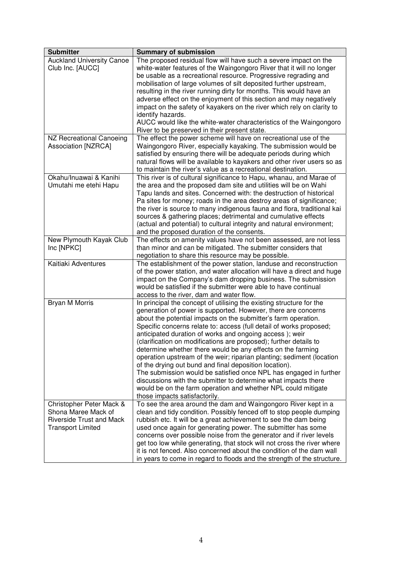| <b>Submitter</b>                 | <b>Summary of submission</b>                                                                                                         |
|----------------------------------|--------------------------------------------------------------------------------------------------------------------------------------|
| <b>Auckland University Canoe</b> | The proposed residual flow will have such a severe impact on the                                                                     |
| Club Inc. [AUCC]                 | white-water features of the Waingongoro River that it will no longer                                                                 |
|                                  | be usable as a recreational resource. Progressive regrading and                                                                      |
|                                  | mobilisation of large volumes of silt deposited further upstream,                                                                    |
|                                  | resulting in the river running dirty for months. This would have an                                                                  |
|                                  | adverse effect on the enjoyment of this section and may negatively                                                                   |
|                                  | impact on the safety of kayakers on the river which rely on clarity to                                                               |
|                                  | identify hazards.                                                                                                                    |
|                                  | AUCC would like the white-water characteristics of the Waingongoro                                                                   |
|                                  | River to be preserved in their present state.                                                                                        |
| NZ Recreational Canoeing         | The effect the power scheme will have on recreational use of the                                                                     |
| <b>Association [NZRCA]</b>       | Waingongoro River, especially kayaking. The submission would be                                                                      |
|                                  | satisfied by ensuring there will be adequate periods during which                                                                    |
|                                  | natural flows will be available to kayakers and other river users so as                                                              |
|                                  | to maintain the river's value as a recreational destination.                                                                         |
| Okahu/Inuawai & Kanihi           | This river is of cultural significance to Hapu, whanau, and Marae of                                                                 |
| Umutahi me etehi Hapu            | the area and the proposed dam site and utilities will be on Wahi                                                                     |
|                                  | Tapu lands and sites. Concerned with: the destruction of historical                                                                  |
|                                  | Pa sites for money; roads in the area destroy areas of significance;                                                                 |
|                                  | the river is source to many indigenous fauna and flora, traditional kai                                                              |
|                                  | sources & gathering places; detrimental and cumulative effects                                                                       |
|                                  | (actual and potential) to cultural integrity and natural environment;                                                                |
|                                  | and the proposed duration of the consents.                                                                                           |
| New Plymouth Kayak Club          | The effects on amenity values have not been assessed, are not less                                                                   |
| Inc [NPKC]                       | than minor and can be mitigated. The submitter considers that                                                                        |
|                                  | negotiation to share this resource may be possible.                                                                                  |
| Kaitiaki Adventures              | The establishment of the power station, landuse and reconstruction                                                                   |
|                                  | of the power station, and water allocation will have a direct and huge                                                               |
|                                  | impact on the Company's dam dropping business. The submission                                                                        |
|                                  | would be satisfied if the submitter were able to have continual                                                                      |
|                                  | access to the river, dam and water flow.                                                                                             |
| Bryan M Morris                   | In principal the concept of utilising the existing structure for the                                                                 |
|                                  | generation of power is supported. However, there are concerns                                                                        |
|                                  | about the potential impacts on the submitter's farm operation.                                                                       |
|                                  | Specific concerns relate to: access (full detail of works proposed;                                                                  |
|                                  | anticipated duration of works and ongoing access); weir                                                                              |
|                                  | (clarification on modifications are proposed); further details to                                                                    |
|                                  | determine whether there would be any effects on the farming<br>operation upstream of the weir; riparian planting; sediment (location |
|                                  | of the drying out bund and final deposition location).                                                                               |
|                                  | The submission would be satisfied once NPL has engaged in further                                                                    |
|                                  | discussions with the submitter to determine what impacts there                                                                       |
|                                  | would be on the farm operation and whether NPL could mitigate                                                                        |
|                                  | those impacts satisfactorily.                                                                                                        |
| Christopher Peter Mack &         | To see the area around the dam and Waingongoro River kept in a                                                                       |
| Shona Maree Mack of              | clean and tidy condition. Possibly fenced off to stop people dumping                                                                 |
| <b>Riverside Trust and Mack</b>  | rubbish etc. It will be a great achievement to see the dam being                                                                     |
| <b>Transport Limited</b>         | used once again for generating power. The submitter has some                                                                         |
|                                  | concerns over possible noise from the generator and if river levels                                                                  |
|                                  | get too low while generating, that stock will not cross the river where                                                              |
|                                  | it is not fenced. Also concerned about the condition of the dam wall                                                                 |
|                                  | in years to come in regard to floods and the strength of the structure.                                                              |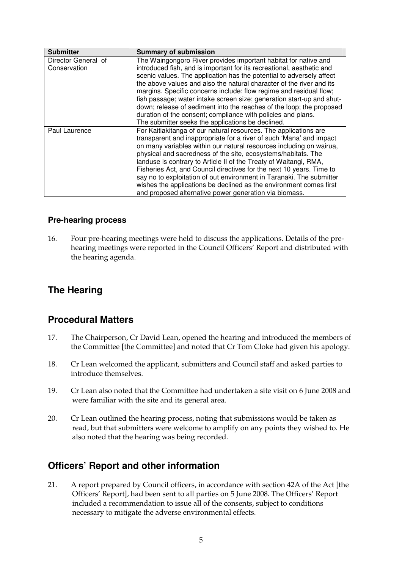| <b>Submitter</b>    | <b>Summary of submission</b>                                          |
|---------------------|-----------------------------------------------------------------------|
| Director General of | The Waingongoro River provides important habitat for native and       |
| Conservation        | introduced fish, and is important for its recreational, aesthetic and |
|                     | scenic values. The application has the potential to adversely affect  |
|                     | the above values and also the natural character of the river and its  |
|                     | margins. Specific concerns include: flow regime and residual flow;    |
|                     | fish passage; water intake screen size; generation start-up and shut- |
|                     | down; release of sediment into the reaches of the loop; the proposed  |
|                     | duration of the consent; compliance with policies and plans.          |
|                     | The submitter seeks the applications be declined.                     |
| Paul Laurence       | For Kaitiakitanga of our natural resources. The applications are      |
|                     | transparent and inappropriate for a river of such 'Mana' and impact   |
|                     | on many variables within our natural resources including on wairua,   |
|                     | physical and sacredness of the site, ecosystems/habitats. The         |
|                     | landuse is contrary to Article II of the Treaty of Waitangi, RMA,     |
|                     | Fisheries Act, and Council directives for the next 10 years. Time to  |
|                     | say no to exploitation of out environment in Taranaki. The submitter  |
|                     | wishes the applications be declined as the environment comes first    |
|                     | and proposed alternative power generation via biomass.                |

#### **Pre-hearing process**

16. Four pre-hearing meetings were held to discuss the applications. Details of the prehearing meetings were reported in the Council Officers' Report and distributed with the hearing agenda.

## **The Hearing**

## **Procedural Matters**

- 17. The Chairperson, Cr David Lean, opened the hearing and introduced the members of the Committee [the Committee] and noted that Cr Tom Cloke had given his apology.
- 18. Cr Lean welcomed the applicant, submitters and Council staff and asked parties to introduce themselves.
- 19. Cr Lean also noted that the Committee had undertaken a site visit on 6 June 2008 and were familiar with the site and its general area.
- 20. Cr Lean outlined the hearing process, noting that submissions would be taken as read, but that submitters were welcome to amplify on any points they wished to. He also noted that the hearing was being recorded.

## **Officers' Report and other information**

21. A report prepared by Council officers, in accordance with section 42A of the Act [the Officers' Report], had been sent to all parties on 5 June 2008. The Officers' Report included a recommendation to issue all of the consents, subject to conditions necessary to mitigate the adverse environmental effects.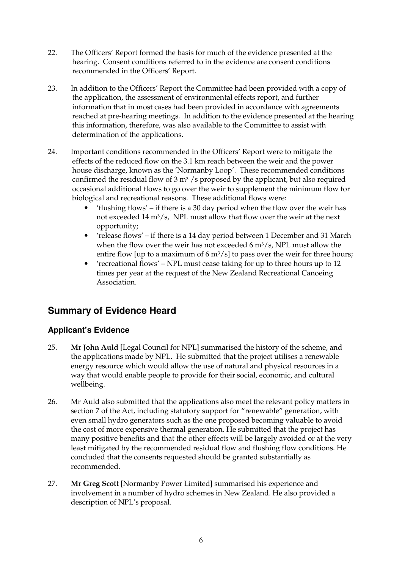- 22. The Officers' Report formed the basis for much of the evidence presented at the hearing. Consent conditions referred to in the evidence are consent conditions recommended in the Officers' Report.
- 23. In addition to the Officers' Report the Committee had been provided with a copy of the application, the assessment of environmental effects report, and further information that in most cases had been provided in accordance with agreements reached at pre-hearing meetings. In addition to the evidence presented at the hearing this information, therefore, was also available to the Committee to assist with determination of the applications.
- 24. Important conditions recommended in the Officers' Report were to mitigate the effects of the reduced flow on the 3.1 km reach between the weir and the power house discharge, known as the 'Normanby Loop'. These recommended conditions confirmed the residual flow of  $3 \text{ m}^3$  /s proposed by the applicant, but also required occasional additional flows to go over the weir to supplement the minimum flow for biological and recreational reasons. These additional flows were:
	- 'flushing flows' if there is a 30 day period when the flow over the weir has not exceeded 14  $m^3/s$ , NPL must allow that flow over the weir at the next opportunity;
	- 'release flows' if there is a 14 day period between 1 December and 31 March when the flow over the weir has not exceeded 6 m3/s, NPL must allow the entire flow [up to a maximum of 6  $\text{m}^3/\text{s}$ ] to pass over the weir for three hours;
	- 'recreational flows' NPL must cease taking for up to three hours up to 12 times per year at the request of the New Zealand Recreational Canoeing Association.

# **Summary of Evidence Heard**

## **Applicant's Evidence**

- 25. **Mr John Auld** [Legal Council for NPL] summarised the history of the scheme, and the applications made by NPL. He submitted that the project utilises a renewable energy resource which would allow the use of natural and physical resources in a way that would enable people to provide for their social, economic, and cultural wellbeing.
- 26. Mr Auld also submitted that the applications also meet the relevant policy matters in section 7 of the Act, including statutory support for "renewable" generation, with even small hydro generators such as the one proposed becoming valuable to avoid the cost of more expensive thermal generation. He submitted that the project has many positive benefits and that the other effects will be largely avoided or at the very least mitigated by the recommended residual flow and flushing flow conditions. He concluded that the consents requested should be granted substantially as recommended.
- 27. **Mr Greg Scott** [Normanby Power Limited] summarised his experience and involvement in a number of hydro schemes in New Zealand. He also provided a description of NPL's proposal.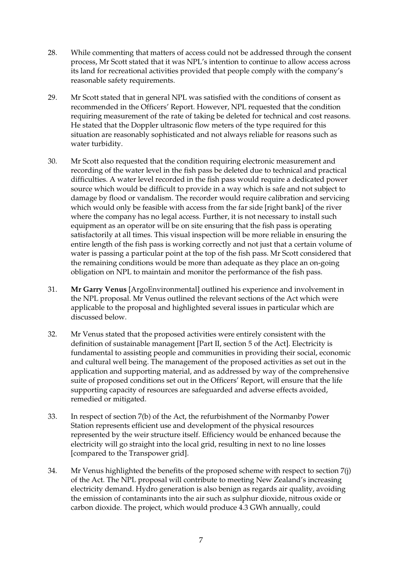- 28. While commenting that matters of access could not be addressed through the consent process, Mr Scott stated that it was NPL's intention to continue to allow access across its land for recreational activities provided that people comply with the company's reasonable safety requirements.
- 29. Mr Scott stated that in general NPL was satisfied with the conditions of consent as recommended in the Officers' Report. However, NPL requested that the condition requiring measurement of the rate of taking be deleted for technical and cost reasons. He stated that the Doppler ultrasonic flow meters of the type required for this situation are reasonably sophisticated and not always reliable for reasons such as water turbidity.
- 30. Mr Scott also requested that the condition requiring electronic measurement and recording of the water level in the fish pass be deleted due to technical and practical difficulties. A water level recorded in the fish pass would require a dedicated power source which would be difficult to provide in a way which is safe and not subject to damage by flood or vandalism. The recorder would require calibration and servicing which would only be feasible with access from the far side [right bank] of the river where the company has no legal access. Further, it is not necessary to install such equipment as an operator will be on site ensuring that the fish pass is operating satisfactorily at all times. This visual inspection will be more reliable in ensuring the entire length of the fish pass is working correctly and not just that a certain volume of water is passing a particular point at the top of the fish pass. Mr Scott considered that the remaining conditions would be more than adequate as they place an on-going obligation on NPL to maintain and monitor the performance of the fish pass.
- 31. **Mr Garry Venus** [ArgoEnvironmental] outlined his experience and involvement in the NPL proposal. Mr Venus outlined the relevant sections of the Act which were applicable to the proposal and highlighted several issues in particular which are discussed below.
- 32. Mr Venus stated that the proposed activities were entirely consistent with the definition of sustainable management [Part II, section 5 of the Act]. Electricity is fundamental to assisting people and communities in providing their social, economic and cultural well being. The management of the proposed activities as set out in the application and supporting material, and as addressed by way of the comprehensive suite of proposed conditions set out in the Officers' Report, will ensure that the life supporting capacity of resources are safeguarded and adverse effects avoided, remedied or mitigated.
- 33. In respect of section 7(b) of the Act, the refurbishment of the Normanby Power Station represents efficient use and development of the physical resources represented by the weir structure itself. Efficiency would be enhanced because the electricity will go straight into the local grid, resulting in next to no line losses [compared to the Transpower grid].
- 34. Mr Venus highlighted the benefits of the proposed scheme with respect to section 7(j) of the Act. The NPL proposal will contribute to meeting New Zealand's increasing electricity demand. Hydro generation is also benign as regards air quality, avoiding the emission of contaminants into the air such as sulphur dioxide, nitrous oxide or carbon dioxide. The project, which would produce 4.3 GWh annually, could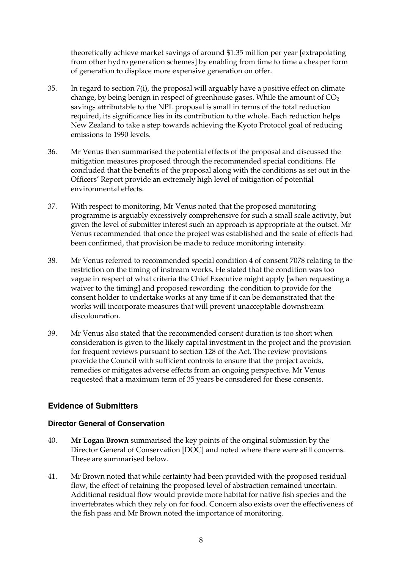theoretically achieve market savings of around \$1.35 million per year [extrapolating from other hydro generation schemes] by enabling from time to time a cheaper form of generation to displace more expensive generation on offer.

- 35. In regard to section 7(i), the proposal will arguably have a positive effect on climate change, by being benign in respect of greenhouse gases. While the amount of  $CO<sub>2</sub>$ savings attributable to the NPL proposal is small in terms of the total reduction required, its significance lies in its contribution to the whole. Each reduction helps New Zealand to take a step towards achieving the Kyoto Protocol goal of reducing emissions to 1990 levels.
- 36. Mr Venus then summarised the potential effects of the proposal and discussed the mitigation measures proposed through the recommended special conditions. He concluded that the benefits of the proposal along with the conditions as set out in the Officers' Report provide an extremely high level of mitigation of potential environmental effects.
- 37. With respect to monitoring, Mr Venus noted that the proposed monitoring programme is arguably excessively comprehensive for such a small scale activity, but given the level of submitter interest such an approach is appropriate at the outset. Mr Venus recommended that once the project was established and the scale of effects had been confirmed, that provision be made to reduce monitoring intensity.
- 38. Mr Venus referred to recommended special condition 4 of consent 7078 relating to the restriction on the timing of instream works. He stated that the condition was too vague in respect of what criteria the Chief Executive might apply [when requesting a waiver to the timing] and proposed rewording the condition to provide for the consent holder to undertake works at any time if it can be demonstrated that the works will incorporate measures that will prevent unacceptable downstream discolouration.
- 39. Mr Venus also stated that the recommended consent duration is too short when consideration is given to the likely capital investment in the project and the provision for frequent reviews pursuant to section 128 of the Act. The review provisions provide the Council with sufficient controls to ensure that the project avoids, remedies or mitigates adverse effects from an ongoing perspective. Mr Venus requested that a maximum term of 35 years be considered for these consents.

## **Evidence of Submitters**

#### **Director General of Conservation**

- 40. **Mr Logan Brown** summarised the key points of the original submission by the Director General of Conservation [DOC] and noted where there were still concerns. These are summarised below.
- 41. Mr Brown noted that while certainty had been provided with the proposed residual flow, the effect of retaining the proposed level of abstraction remained uncertain. Additional residual flow would provide more habitat for native fish species and the invertebrates which they rely on for food. Concern also exists over the effectiveness of the fish pass and Mr Brown noted the importance of monitoring.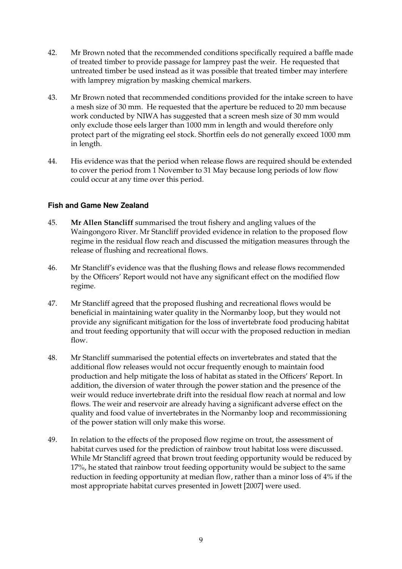- 42. Mr Brown noted that the recommended conditions specifically required a baffle made of treated timber to provide passage for lamprey past the weir. He requested that untreated timber be used instead as it was possible that treated timber may interfere with lamprey migration by masking chemical markers.
- 43. Mr Brown noted that recommended conditions provided for the intake screen to have a mesh size of 30 mm. He requested that the aperture be reduced to 20 mm because work conducted by NIWA has suggested that a screen mesh size of 30 mm would only exclude those eels larger than 1000 mm in length and would therefore only protect part of the migrating eel stock. Shortfin eels do not generally exceed 1000 mm in length.
- 44. His evidence was that the period when release flows are required should be extended to cover the period from 1 November to 31 May because long periods of low flow could occur at any time over this period.

#### **Fish and Game New Zealand**

- 45. **Mr Allen Stancliff** summarised the trout fishery and angling values of the Waingongoro River. Mr Stancliff provided evidence in relation to the proposed flow regime in the residual flow reach and discussed the mitigation measures through the release of flushing and recreational flows.
- 46. Mr Stancliff's evidence was that the flushing flows and release flows recommended by the Officers' Report would not have any significant effect on the modified flow regime.
- 47. Mr Stancliff agreed that the proposed flushing and recreational flows would be beneficial in maintaining water quality in the Normanby loop, but they would not provide any significant mitigation for the loss of invertebrate food producing habitat and trout feeding opportunity that will occur with the proposed reduction in median flow.
- 48. Mr Stancliff summarised the potential effects on invertebrates and stated that the additional flow releases would not occur frequently enough to maintain food production and help mitigate the loss of habitat as stated in the Officers' Report. In addition, the diversion of water through the power station and the presence of the weir would reduce invertebrate drift into the residual flow reach at normal and low flows. The weir and reservoir are already having a significant adverse effect on the quality and food value of invertebrates in the Normanby loop and recommissioning of the power station will only make this worse.
- 49. In relation to the effects of the proposed flow regime on trout, the assessment of habitat curves used for the prediction of rainbow trout habitat loss were discussed. While Mr Stancliff agreed that brown trout feeding opportunity would be reduced by 17%, he stated that rainbow trout feeding opportunity would be subject to the same reduction in feeding opportunity at median flow, rather than a minor loss of 4% if the most appropriate habitat curves presented in Jowett [2007] were used.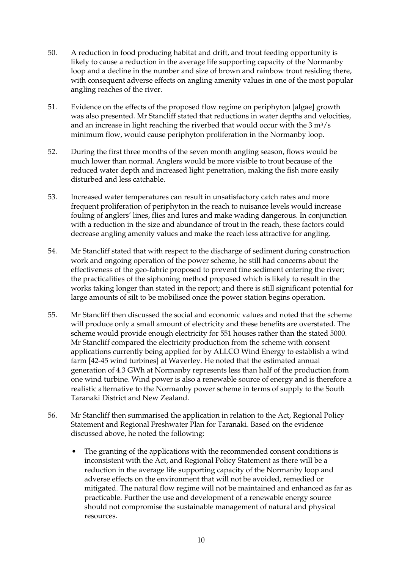- 50. A reduction in food producing habitat and drift, and trout feeding opportunity is likely to cause a reduction in the average life supporting capacity of the Normanby loop and a decline in the number and size of brown and rainbow trout residing there, with consequent adverse effects on angling amenity values in one of the most popular angling reaches of the river.
- 51. Evidence on the effects of the proposed flow regime on periphyton [algae] growth was also presented. Mr Stancliff stated that reductions in water depths and velocities, and an increase in light reaching the riverbed that would occur with the  $3 \text{ m}^3/\text{s}$ minimum flow, would cause periphyton proliferation in the Normanby loop.
- 52. During the first three months of the seven month angling season, flows would be much lower than normal. Anglers would be more visible to trout because of the reduced water depth and increased light penetration, making the fish more easily disturbed and less catchable.
- 53. Increased water temperatures can result in unsatisfactory catch rates and more frequent proliferation of periphyton in the reach to nuisance levels would increase fouling of anglers' lines, flies and lures and make wading dangerous. In conjunction with a reduction in the size and abundance of trout in the reach, these factors could decrease angling amenity values and make the reach less attractive for angling.
- 54. Mr Stancliff stated that with respect to the discharge of sediment during construction work and ongoing operation of the power scheme, he still had concerns about the effectiveness of the geo-fabric proposed to prevent fine sediment entering the river; the practicalities of the siphoning method proposed which is likely to result in the works taking longer than stated in the report; and there is still significant potential for large amounts of silt to be mobilised once the power station begins operation.
- 55. Mr Stancliff then discussed the social and economic values and noted that the scheme will produce only a small amount of electricity and these benefits are overstated. The scheme would provide enough electricity for 551 houses rather than the stated 5000. Mr Stancliff compared the electricity production from the scheme with consent applications currently being applied for by ALLCO Wind Energy to establish a wind farm [42-45 wind turbines] at Waverley. He noted that the estimated annual generation of 4.3 GWh at Normanby represents less than half of the production from one wind turbine. Wind power is also a renewable source of energy and is therefore a realistic alternative to the Normanby power scheme in terms of supply to the South Taranaki District and New Zealand.
- 56. Mr Stancliff then summarised the application in relation to the Act, Regional Policy Statement and Regional Freshwater Plan for Taranaki. Based on the evidence discussed above, he noted the following:
	- The granting of the applications with the recommended consent conditions is inconsistent with the Act, and Regional Policy Statement as there will be a reduction in the average life supporting capacity of the Normanby loop and adverse effects on the environment that will not be avoided, remedied or mitigated. The natural flow regime will not be maintained and enhanced as far as practicable. Further the use and development of a renewable energy source should not compromise the sustainable management of natural and physical resources.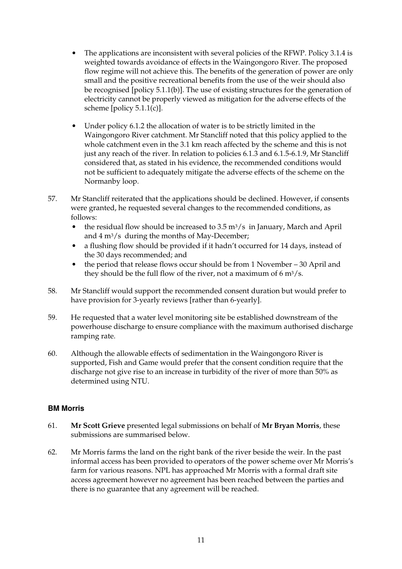- The applications are inconsistent with several policies of the RFWP. Policy 3.1.4 is weighted towards avoidance of effects in the Waingongoro River. The proposed flow regime will not achieve this. The benefits of the generation of power are only small and the positive recreational benefits from the use of the weir should also be recognised [policy 5.1.1(b)]. The use of existing structures for the generation of electricity cannot be properly viewed as mitigation for the adverse effects of the scheme [policy  $5.1.1(c)$ ].
- Under policy 6.1.2 the allocation of water is to be strictly limited in the Waingongoro River catchment. Mr Stancliff noted that this policy applied to the whole catchment even in the 3.1 km reach affected by the scheme and this is not just any reach of the river. In relation to policies 6.1.3 and 6.1.5-6.1.9, Mr Stancliff considered that, as stated in his evidence, the recommended conditions would not be sufficient to adequately mitigate the adverse effects of the scheme on the Normanby loop.
- 57. Mr Stancliff reiterated that the applications should be declined. However, if consents were granted, he requested several changes to the recommended conditions, as follows:
	- the residual flow should be increased to  $3.5 \text{ m}^3/\text{s}$  in January, March and April and 4 m3/s during the months of May-December;
	- a flushing flow should be provided if it hadn't occurred for 14 days, instead of the 30 days recommended; and
	- the period that release flows occur should be from 1 November 30 April and they should be the full flow of the river, not a maximum of  $6 \text{ m}^3/\text{s}$ .
- 58. Mr Stancliff would support the recommended consent duration but would prefer to have provision for 3-yearly reviews [rather than 6-yearly].
- 59. He requested that a water level monitoring site be established downstream of the powerhouse discharge to ensure compliance with the maximum authorised discharge ramping rate.
- 60. Although the allowable effects of sedimentation in the Waingongoro River is supported, Fish and Game would prefer that the consent condition require that the discharge not give rise to an increase in turbidity of the river of more than 50% as determined using NTU.

#### **BM Morris**

- 61. **Mr Scott Grieve** presented legal submissions on behalf of **Mr Bryan Morris**, these submissions are summarised below.
- 62. Mr Morris farms the land on the right bank of the river beside the weir. In the past informal access has been provided to operators of the power scheme over Mr Morris's farm for various reasons. NPL has approached Mr Morris with a formal draft site access agreement however no agreement has been reached between the parties and there is no guarantee that any agreement will be reached.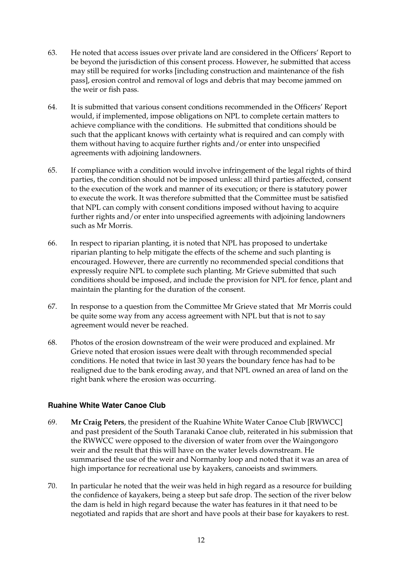- 63. He noted that access issues over private land are considered in the Officers' Report to be beyond the jurisdiction of this consent process. However, he submitted that access may still be required for works [including construction and maintenance of the fish pass], erosion control and removal of logs and debris that may become jammed on the weir or fish pass.
- 64. It is submitted that various consent conditions recommended in the Officers' Report would, if implemented, impose obligations on NPL to complete certain matters to achieve compliance with the conditions. He submitted that conditions should be such that the applicant knows with certainty what is required and can comply with them without having to acquire further rights and/or enter into unspecified agreements with adjoining landowners.
- 65. If compliance with a condition would involve infringement of the legal rights of third parties, the condition should not be imposed unless: all third parties affected, consent to the execution of the work and manner of its execution; or there is statutory power to execute the work. It was therefore submitted that the Committee must be satisfied that NPL can comply with consent conditions imposed without having to acquire further rights and/or enter into unspecified agreements with adjoining landowners such as Mr Morris.
- 66. In respect to riparian planting, it is noted that NPL has proposed to undertake riparian planting to help mitigate the effects of the scheme and such planting is encouraged. However, there are currently no recommended special conditions that expressly require NPL to complete such planting. Mr Grieve submitted that such conditions should be imposed, and include the provision for NPL for fence, plant and maintain the planting for the duration of the consent.
- 67. In response to a question from the Committee Mr Grieve stated that Mr Morris could be quite some way from any access agreement with NPL but that is not to say agreement would never be reached.
- 68. Photos of the erosion downstream of the weir were produced and explained. Mr Grieve noted that erosion issues were dealt with through recommended special conditions. He noted that twice in last 30 years the boundary fence has had to be realigned due to the bank eroding away, and that NPL owned an area of land on the right bank where the erosion was occurring.

#### **Ruahine White Water Canoe Club**

- 69. **Mr Craig Peters**, the president of the Ruahine White Water Canoe Club [RWWCC] and past president of the South Taranaki Canoe club, reiterated in his submission that the RWWCC were opposed to the diversion of water from over the Waingongoro weir and the result that this will have on the water levels downstream. He summarised the use of the weir and Normanby loop and noted that it was an area of high importance for recreational use by kayakers, canoeists and swimmers.
- 70. In particular he noted that the weir was held in high regard as a resource for building the confidence of kayakers, being a steep but safe drop. The section of the river below the dam is held in high regard because the water has features in it that need to be negotiated and rapids that are short and have pools at their base for kayakers to rest.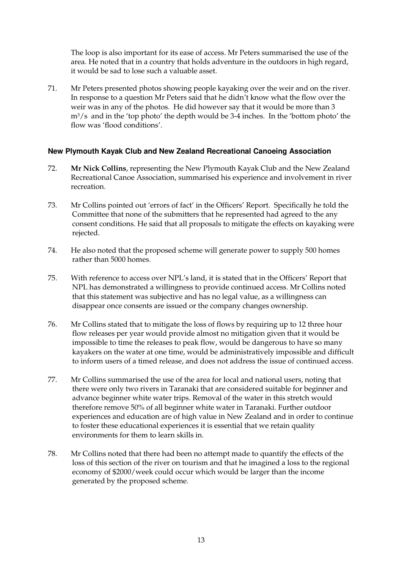The loop is also important for its ease of access. Mr Peters summarised the use of the area. He noted that in a country that holds adventure in the outdoors in high regard, it would be sad to lose such a valuable asset.

71. Mr Peters presented photos showing people kayaking over the weir and on the river. In response to a question Mr Peters said that he didn't know what the flow over the weir was in any of the photos. He did however say that it would be more than 3 m3/s and in the 'top photo' the depth would be 3-4 inches. In the 'bottom photo' the flow was 'flood conditions'.

#### **New Plymouth Kayak Club and New Zealand Recreational Canoeing Association**

- 72. **Mr Nick Collins**, representing the New Plymouth Kayak Club and the New Zealand Recreational Canoe Association, summarised his experience and involvement in river recreation.
- 73. Mr Collins pointed out 'errors of fact' in the Officers' Report. Specifically he told the Committee that none of the submitters that he represented had agreed to the any consent conditions. He said that all proposals to mitigate the effects on kayaking were rejected.
- 74. He also noted that the proposed scheme will generate power to supply 500 homes rather than 5000 homes.
- 75. With reference to access over NPL's land, it is stated that in the Officers' Report that NPL has demonstrated a willingness to provide continued access. Mr Collins noted that this statement was subjective and has no legal value, as a willingness can disappear once consents are issued or the company changes ownership.
- 76. Mr Collins stated that to mitigate the loss of flows by requiring up to 12 three hour flow releases per year would provide almost no mitigation given that it would be impossible to time the releases to peak flow, would be dangerous to have so many kayakers on the water at one time, would be administratively impossible and difficult to inform users of a timed release, and does not address the issue of continued access.
- 77. Mr Collins summarised the use of the area for local and national users, noting that there were only two rivers in Taranaki that are considered suitable for beginner and advance beginner white water trips. Removal of the water in this stretch would therefore remove 50% of all beginner white water in Taranaki. Further outdoor experiences and education are of high value in New Zealand and in order to continue to foster these educational experiences it is essential that we retain quality environments for them to learn skills in.
- 78. Mr Collins noted that there had been no attempt made to quantify the effects of the loss of this section of the river on tourism and that he imagined a loss to the regional economy of \$2000/week could occur which would be larger than the income generated by the proposed scheme.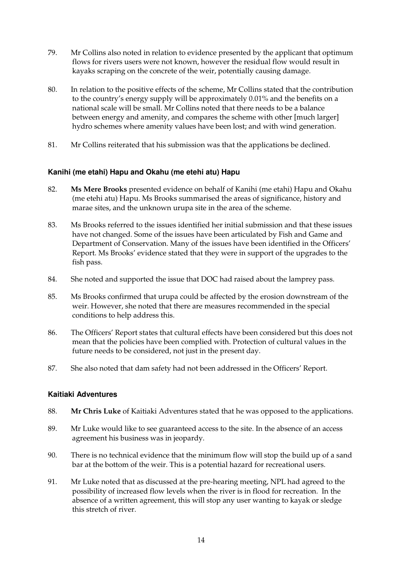- 79. Mr Collins also noted in relation to evidence presented by the applicant that optimum flows for rivers users were not known, however the residual flow would result in kayaks scraping on the concrete of the weir, potentially causing damage.
- 80. In relation to the positive effects of the scheme, Mr Collins stated that the contribution to the country's energy supply will be approximately 0.01% and the benefits on a national scale will be small. Mr Collins noted that there needs to be a balance between energy and amenity, and compares the scheme with other [much larger] hydro schemes where amenity values have been lost; and with wind generation.
- 81. Mr Collins reiterated that his submission was that the applications be declined.

#### **Kanihi (me etahi) Hapu and Okahu (me etehi atu) Hapu**

- 82. **Ms Mere Brooks** presented evidence on behalf of Kanihi (me etahi) Hapu and Okahu (me etehi atu) Hapu. Ms Brooks summarised the areas of significance, history and marae sites, and the unknown urupa site in the area of the scheme.
- 83. Ms Brooks referred to the issues identified her initial submission and that these issues have not changed. Some of the issues have been articulated by Fish and Game and Department of Conservation. Many of the issues have been identified in the Officers' Report. Ms Brooks' evidence stated that they were in support of the upgrades to the fish pass.
- 84. She noted and supported the issue that DOC had raised about the lamprey pass.
- 85. Ms Brooks confirmed that urupa could be affected by the erosion downstream of the weir. However, she noted that there are measures recommended in the special conditions to help address this.
- 86. The Officers' Report states that cultural effects have been considered but this does not mean that the policies have been complied with. Protection of cultural values in the future needs to be considered, not just in the present day.
- 87. She also noted that dam safety had not been addressed in the Officers' Report.

#### **Kaitiaki Adventures**

- 88. **Mr Chris Luke** of Kaitiaki Adventures stated that he was opposed to the applications.
- 89. Mr Luke would like to see guaranteed access to the site. In the absence of an access agreement his business was in jeopardy.
- 90. There is no technical evidence that the minimum flow will stop the build up of a sand bar at the bottom of the weir. This is a potential hazard for recreational users.
- 91. Mr Luke noted that as discussed at the pre-hearing meeting, NPL had agreed to the possibility of increased flow levels when the river is in flood for recreation. In the absence of a written agreement, this will stop any user wanting to kayak or sledge this stretch of river.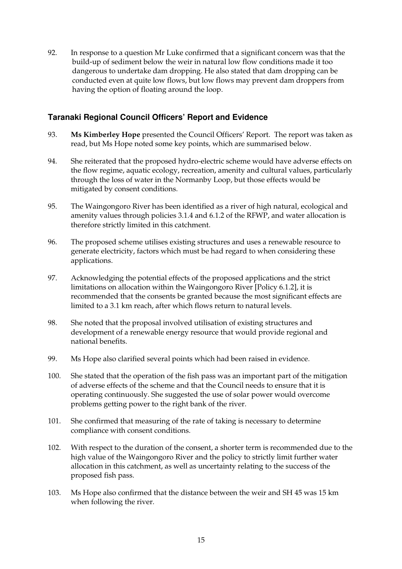92. In response to a question Mr Luke confirmed that a significant concern was that the build-up of sediment below the weir in natural low flow conditions made it too dangerous to undertake dam dropping. He also stated that dam dropping can be conducted even at quite low flows, but low flows may prevent dam droppers from having the option of floating around the loop.

#### **Taranaki Regional Council Officers' Report and Evidence**

- 93. **Ms Kimberley Hope** presented the Council Officers' Report. The report was taken as read, but Ms Hope noted some key points, which are summarised below.
- 94. She reiterated that the proposed hydro-electric scheme would have adverse effects on the flow regime, aquatic ecology, recreation, amenity and cultural values, particularly through the loss of water in the Normanby Loop, but those effects would be mitigated by consent conditions.
- 95. The Waingongoro River has been identified as a river of high natural, ecological and amenity values through policies 3.1.4 and 6.1.2 of the RFWP, and water allocation is therefore strictly limited in this catchment.
- 96. The proposed scheme utilises existing structures and uses a renewable resource to generate electricity, factors which must be had regard to when considering these applications.
- 97. Acknowledging the potential effects of the proposed applications and the strict limitations on allocation within the Waingongoro River [Policy 6.1.2], it is recommended that the consents be granted because the most significant effects are limited to a 3.1 km reach, after which flows return to natural levels.
- 98. She noted that the proposal involved utilisation of existing structures and development of a renewable energy resource that would provide regional and national benefits.
- 99. Ms Hope also clarified several points which had been raised in evidence.
- 100. She stated that the operation of the fish pass was an important part of the mitigation of adverse effects of the scheme and that the Council needs to ensure that it is operating continuously. She suggested the use of solar power would overcome problems getting power to the right bank of the river.
- 101. She confirmed that measuring of the rate of taking is necessary to determine compliance with consent conditions.
- 102. With respect to the duration of the consent, a shorter term is recommended due to the high value of the Waingongoro River and the policy to strictly limit further water allocation in this catchment, as well as uncertainty relating to the success of the proposed fish pass.
- 103. Ms Hope also confirmed that the distance between the weir and SH 45 was 15 km when following the river.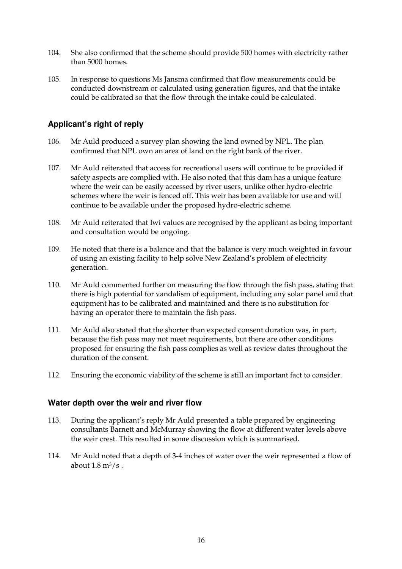- 104. She also confirmed that the scheme should provide 500 homes with electricity rather than 5000 homes.
- 105. In response to questions Ms Jansma confirmed that flow measurements could be conducted downstream or calculated using generation figures, and that the intake could be calibrated so that the flow through the intake could be calculated.

## **Applicant's right of reply**

- 106. Mr Auld produced a survey plan showing the land owned by NPL. The plan confirmed that NPL own an area of land on the right bank of the river.
- 107. Mr Auld reiterated that access for recreational users will continue to be provided if safety aspects are complied with. He also noted that this dam has a unique feature where the weir can be easily accessed by river users, unlike other hydro-electric schemes where the weir is fenced off. This weir has been available for use and will continue to be available under the proposed hydro-electric scheme.
- 108. Mr Auld reiterated that Iwi values are recognised by the applicant as being important and consultation would be ongoing.
- 109. He noted that there is a balance and that the balance is very much weighted in favour of using an existing facility to help solve New Zealand's problem of electricity generation.
- 110. Mr Auld commented further on measuring the flow through the fish pass, stating that there is high potential for vandalism of equipment, including any solar panel and that equipment has to be calibrated and maintained and there is no substitution for having an operator there to maintain the fish pass.
- 111. Mr Auld also stated that the shorter than expected consent duration was, in part, because the fish pass may not meet requirements, but there are other conditions proposed for ensuring the fish pass complies as well as review dates throughout the duration of the consent.
- 112. Ensuring the economic viability of the scheme is still an important fact to consider.

#### **Water depth over the weir and river flow**

- 113. During the applicant's reply Mr Auld presented a table prepared by engineering consultants Barnett and McMurray showing the flow at different water levels above the weir crest. This resulted in some discussion which is summarised.
- 114. Mr Auld noted that a depth of 3-4 inches of water over the weir represented a flow of about  $1.8 \text{ m}^3/\text{s}$ .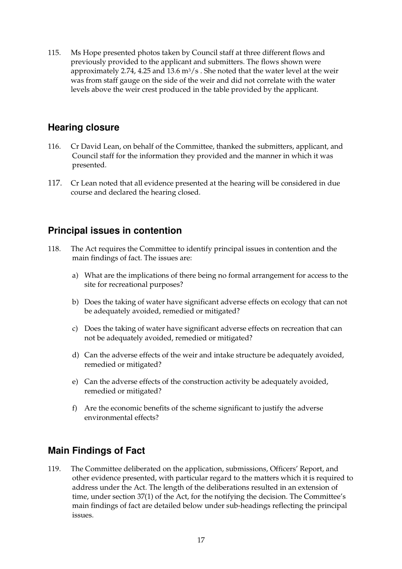115. Ms Hope presented photos taken by Council staff at three different flows and previously provided to the applicant and submitters. The flows shown were approximately 2.74, 4.25 and 13.6  $\frac{m^3}{s}$ . She noted that the water level at the weir was from staff gauge on the side of the weir and did not correlate with the water levels above the weir crest produced in the table provided by the applicant.

## **Hearing closure**

- 116. Cr David Lean, on behalf of the Committee, thanked the submitters, applicant, and Council staff for the information they provided and the manner in which it was presented.
- 117. Cr Lean noted that all evidence presented at the hearing will be considered in due course and declared the hearing closed.

## **Principal issues in contention**

- 118. The Act requires the Committee to identify principal issues in contention and the main findings of fact. The issues are:
	- a) What are the implications of there being no formal arrangement for access to the site for recreational purposes?
	- b) Does the taking of water have significant adverse effects on ecology that can not be adequately avoided, remedied or mitigated?
	- c) Does the taking of water have significant adverse effects on recreation that can not be adequately avoided, remedied or mitigated?
	- d) Can the adverse effects of the weir and intake structure be adequately avoided, remedied or mitigated?
	- e) Can the adverse effects of the construction activity be adequately avoided, remedied or mitigated?
	- f) Are the economic benefits of the scheme significant to justify the adverse environmental effects?

## **Main Findings of Fact**

119. The Committee deliberated on the application, submissions, Officers' Report, and other evidence presented, with particular regard to the matters which it is required to address under the Act. The length of the deliberations resulted in an extension of time, under section 37(1) of the Act, for the notifying the decision. The Committee's main findings of fact are detailed below under sub-headings reflecting the principal issues.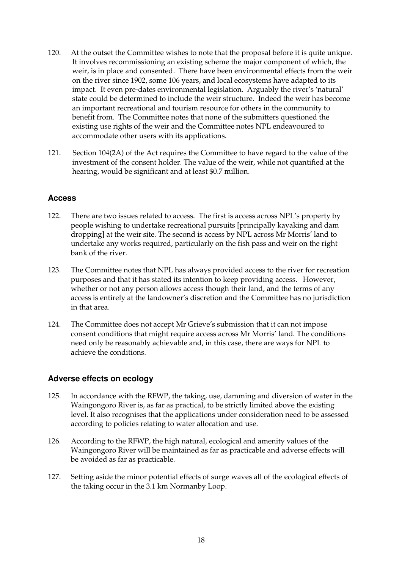- 120. At the outset the Committee wishes to note that the proposal before it is quite unique. It involves recommissioning an existing scheme the major component of which, the weir, is in place and consented. There have been environmental effects from the weir on the river since 1902, some 106 years, and local ecosystems have adapted to its impact. It even pre-dates environmental legislation. Arguably the river's 'natural' state could be determined to include the weir structure. Indeed the weir has become an important recreational and tourism resource for others in the community to benefit from. The Committee notes that none of the submitters questioned the existing use rights of the weir and the Committee notes NPL endeavoured to accommodate other users with its applications.
- 121. Section 104(2A) of the Act requires the Committee to have regard to the value of the investment of the consent holder. The value of the weir, while not quantified at the hearing, would be significant and at least \$0.7 million.

#### **Access**

- 122. There are two issues related to access. The first is access across NPL's property by people wishing to undertake recreational pursuits [principally kayaking and dam dropping] at the weir site. The second is access by NPL across Mr Morris' land to undertake any works required, particularly on the fish pass and weir on the right bank of the river.
- 123. The Committee notes that NPL has always provided access to the river for recreation purposes and that it has stated its intention to keep providing access. However, whether or not any person allows access though their land, and the terms of any access is entirely at the landowner's discretion and the Committee has no jurisdiction in that area.
- 124. The Committee does not accept Mr Grieve's submission that it can not impose consent conditions that might require access across Mr Morris' land. The conditions need only be reasonably achievable and, in this case, there are ways for NPL to achieve the conditions.

#### **Adverse effects on ecology**

- 125. In accordance with the RFWP, the taking, use, damming and diversion of water in the Waingongoro River is, as far as practical, to be strictly limited above the existing level. It also recognises that the applications under consideration need to be assessed according to policies relating to water allocation and use.
- 126. According to the RFWP, the high natural, ecological and amenity values of the Waingongoro River will be maintained as far as practicable and adverse effects will be avoided as far as practicable.
- 127. Setting aside the minor potential effects of surge waves all of the ecological effects of the taking occur in the 3.1 km Normanby Loop.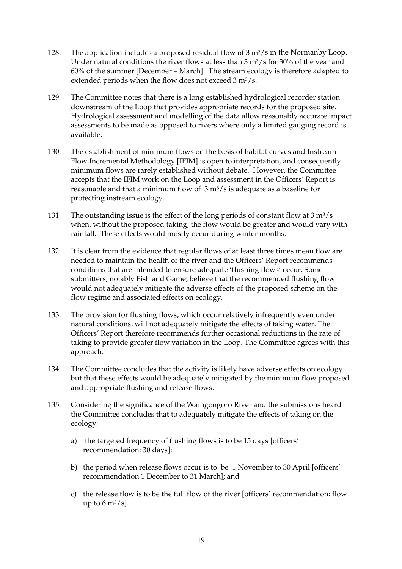- 128. The application includes a proposed residual flow of  $3 \text{ m}^3/\text{s}$  in the Normanby Loop. Under natural conditions the river flows at less than  $3 \text{ m}^3/\text{s}$  for 30% of the year and 60% of the summer [December – March]. The stream ecology is therefore adapted to extended periods when the flow does not exceed  $3 \text{ m}^3/\text{s}$ .
- 129. The Committee notes that there is a long established hydrological recorder station downstream of the Loop that provides appropriate records for the proposed site. Hydrological assessment and modelling of the data allow reasonably accurate impact assessments to be made as opposed to rivers where only a limited gauging record is available.
- 130. The establishment of minimum flows on the basis of habitat curves and Instream Flow Incremental Methodology [IFIM] is open to interpretation, and consequently minimum flows are rarely established without debate. However, the Committee accepts that the IFIM work on the Loop and assessment in the Officers' Report is reasonable and that a minimum flow of  $3 \text{ m}^3/\text{s}$  is adequate as a baseline for protecting instream ecology.
- 131. The outstanding issue is the effect of the long periods of constant flow at  $3 \text{ m}^3/\text{s}$ when, without the proposed taking, the flow would be greater and would vary with rainfall. These effects would mostly occur during winter months.
- 132. It is clear from the evidence that regular flows of at least three times mean flow are needed to maintain the health of the river and the Officers' Report recommends conditions that are intended to ensure adequate 'flushing flows' occur. Some submitters, notably Fish and Game, believe that the recommended flushing flow would not adequately mitigate the adverse effects of the proposed scheme on the flow regime and associated effects on ecology.
- 133. The provision for flushing flows, which occur relatively infrequently even under natural conditions, will not adequately mitigate the effects of taking water. The Officers' Report therefore recommends further occasional reductions in the rate of taking to provide greater flow variation in the Loop. The Committee agrees with this approach.
- 134. The Committee concludes that the activity is likely have adverse effects on ecology but that these effects would be adequately mitigated by the minimum flow proposed and appropriate flushing and release flows.
- 135. Considering the significance of the Waingongoro River and the submissions heard the Committee concludes that to adequately mitigate the effects of taking on the ecology:
	- a) the targeted frequency of flushing flows is to be 15 days [officers' recommendation: 30 days];
	- b) the period when release flows occur is to be 1 November to 30 April [officers' recommendation 1 December to 31 March]; and
	- c) the release flow is to be the full flow of the river [officers' recommendation: flow up to  $6 \text{ m}^3/\text{s}$ .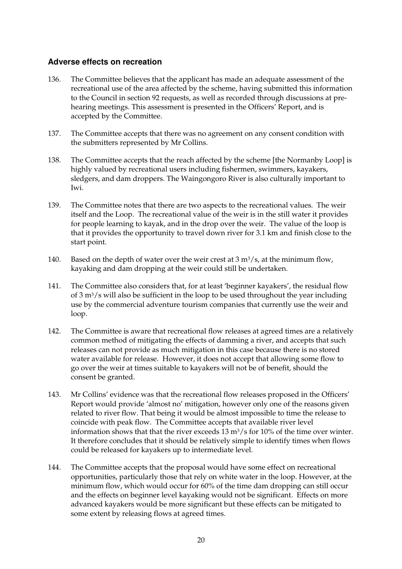#### **Adverse effects on recreation**

- 136. The Committee believes that the applicant has made an adequate assessment of the recreational use of the area affected by the scheme, having submitted this information to the Council in section 92 requests, as well as recorded through discussions at prehearing meetings. This assessment is presented in the Officers' Report, and is accepted by the Committee.
- 137. The Committee accepts that there was no agreement on any consent condition with the submitters represented by Mr Collins.
- 138. The Committee accepts that the reach affected by the scheme [the Normanby Loop] is highly valued by recreational users including fishermen, swimmers, kayakers, sledgers, and dam droppers. The Waingongoro River is also culturally important to Iwi.
- 139. The Committee notes that there are two aspects to the recreational values. The weir itself and the Loop. The recreational value of the weir is in the still water it provides for people learning to kayak, and in the drop over the weir. The value of the loop is that it provides the opportunity to travel down river for 3.1 km and finish close to the start point.
- 140. Based on the depth of water over the weir crest at  $3 \text{ m}^3$ /s, at the minimum flow, kayaking and dam dropping at the weir could still be undertaken.
- 141. The Committee also considers that, for at least 'beginner kayakers', the residual flow of  $3 \text{ m}^3$ /s will also be sufficient in the loop to be used throughout the year including use by the commercial adventure tourism companies that currently use the weir and loop.
- 142. The Committee is aware that recreational flow releases at agreed times are a relatively common method of mitigating the effects of damming a river, and accepts that such releases can not provide as much mitigation in this case because there is no stored water available for release. However, it does not accept that allowing some flow to go over the weir at times suitable to kayakers will not be of benefit, should the consent be granted.
- 143. Mr Collins' evidence was that the recreational flow releases proposed in the Officers' Report would provide 'almost no' mitigation, however only one of the reasons given related to river flow. That being it would be almost impossible to time the release to coincide with peak flow. The Committee accepts that available river level information shows that that the river exceeds  $13 \text{ m}^3/\text{s}$  for  $10\%$  of the time over winter. It therefore concludes that it should be relatively simple to identify times when flows could be released for kayakers up to intermediate level.
- 144. The Committee accepts that the proposal would have some effect on recreational opportunities, particularly those that rely on white water in the loop. However, at the minimum flow, which would occur for 60% of the time dam dropping can still occur and the effects on beginner level kayaking would not be significant. Effects on more advanced kayakers would be more significant but these effects can be mitigated to some extent by releasing flows at agreed times.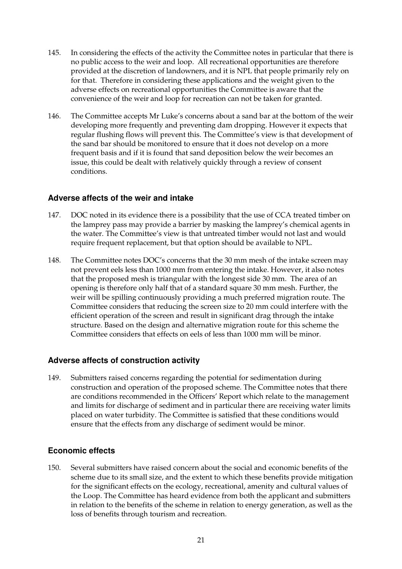- 145. In considering the effects of the activity the Committee notes in particular that there is no public access to the weir and loop. All recreational opportunities are therefore provided at the discretion of landowners, and it is NPL that people primarily rely on for that. Therefore in considering these applications and the weight given to the adverse effects on recreational opportunities the Committee is aware that the convenience of the weir and loop for recreation can not be taken for granted.
- 146. The Committee accepts Mr Luke's concerns about a sand bar at the bottom of the weir developing more frequently and preventing dam dropping. However it expects that regular flushing flows will prevent this. The Committee's view is that development of the sand bar should be monitored to ensure that it does not develop on a more frequent basis and if it is found that sand deposition below the weir becomes an issue, this could be dealt with relatively quickly through a review of consent conditions.

### **Adverse affects of the weir and intake**

- 147. DOC noted in its evidence there is a possibility that the use of CCA treated timber on the lamprey pass may provide a barrier by masking the lamprey's chemical agents in the water. The Committee's view is that untreated timber would not last and would require frequent replacement, but that option should be available to NPL.
- 148. The Committee notes DOC's concerns that the 30 mm mesh of the intake screen may not prevent eels less than 1000 mm from entering the intake. However, it also notes that the proposed mesh is triangular with the longest side 30 mm. The area of an opening is therefore only half that of a standard square 30 mm mesh. Further, the weir will be spilling continuously providing a much preferred migration route. The Committee considers that reducing the screen size to 20 mm could interfere with the efficient operation of the screen and result in significant drag through the intake structure. Based on the design and alternative migration route for this scheme the Committee considers that effects on eels of less than 1000 mm will be minor.

#### **Adverse affects of construction activity**

149. Submitters raised concerns regarding the potential for sedimentation during construction and operation of the proposed scheme. The Committee notes that there are conditions recommended in the Officers' Report which relate to the management and limits for discharge of sediment and in particular there are receiving water limits placed on water turbidity. The Committee is satisfied that these conditions would ensure that the effects from any discharge of sediment would be minor.

## **Economic effects**

150. Several submitters have raised concern about the social and economic benefits of the scheme due to its small size, and the extent to which these benefits provide mitigation for the significant effects on the ecology, recreational, amenity and cultural values of the Loop. The Committee has heard evidence from both the applicant and submitters in relation to the benefits of the scheme in relation to energy generation, as well as the loss of benefits through tourism and recreation.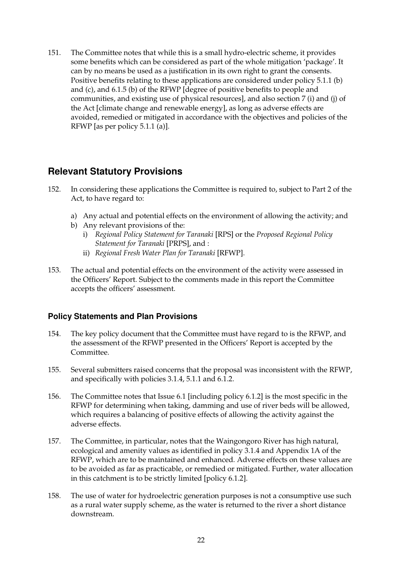151. The Committee notes that while this is a small hydro-electric scheme, it provides some benefits which can be considered as part of the whole mitigation 'package'. It can by no means be used as a justification in its own right to grant the consents. Positive benefits relating to these applications are considered under policy 5.1.1 (b) and (c), and 6.1.5 (b) of the RFWP [degree of positive benefits to people and communities, and existing use of physical resources], and also section 7 (i) and (j) of the Act [climate change and renewable energy], as long as adverse effects are avoided, remedied or mitigated in accordance with the objectives and policies of the RFWP [as per policy 5.1.1 (a)].

## **Relevant Statutory Provisions**

- 152. In considering these applications the Committee is required to, subject to Part 2 of the Act, to have regard to:
	- a) Any actual and potential effects on the environment of allowing the activity; and
	- b) Any relevant provisions of the: i) *Regional Policy Statement for Taranaki* [RPS] or the *Proposed Regional Policy* 
		- *Statement for Taranaki* [PRPS], and :
		- ii) *Regional Fresh Water Plan for Taranaki* [RFWP].
- 153. The actual and potential effects on the environment of the activity were assessed in the Officers' Report. Subject to the comments made in this report the Committee accepts the officers' assessment.

## **Policy Statements and Plan Provisions**

- 154. The key policy document that the Committee must have regard to is the RFWP, and the assessment of the RFWP presented in the Officers' Report is accepted by the Committee.
- 155. Several submitters raised concerns that the proposal was inconsistent with the RFWP, and specifically with policies 3.1.4, 5.1.1 and 6.1.2.
- 156. The Committee notes that Issue 6.1 [including policy 6.1.2] is the most specific in the RFWP for determining when taking, damming and use of river beds will be allowed, which requires a balancing of positive effects of allowing the activity against the adverse effects.
- 157. The Committee, in particular, notes that the Waingongoro River has high natural, ecological and amenity values as identified in policy 3.1.4 and Appendix 1A of the RFWP, which are to be maintained and enhanced. Adverse effects on these values are to be avoided as far as practicable, or remedied or mitigated. Further, water allocation in this catchment is to be strictly limited [policy 6.1.2].
- 158. The use of water for hydroelectric generation purposes is not a consumptive use such as a rural water supply scheme, as the water is returned to the river a short distance downstream.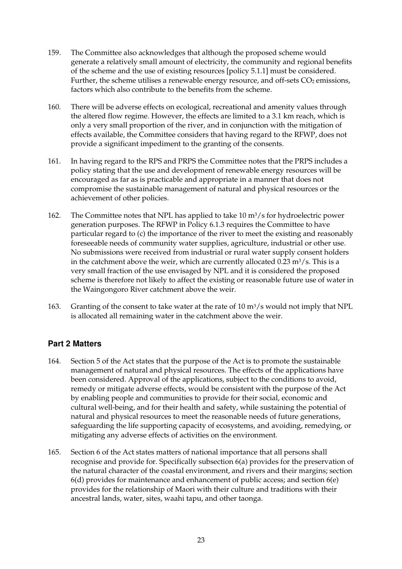- 159. The Committee also acknowledges that although the proposed scheme would generate a relatively small amount of electricity, the community and regional benefits of the scheme and the use of existing resources [policy 5.1.1] must be considered. Further, the scheme utilises a renewable energy resource, and off-sets  $CO<sub>2</sub>$  emissions, factors which also contribute to the benefits from the scheme.
- 160. There will be adverse effects on ecological, recreational and amenity values through the altered flow regime. However, the effects are limited to a 3.1 km reach, which is only a very small proportion of the river, and in conjunction with the mitigation of effects available, the Committee considers that having regard to the RFWP, does not provide a significant impediment to the granting of the consents.
- 161. In having regard to the RPS and PRPS the Committee notes that the PRPS includes a policy stating that the use and development of renewable energy resources will be encouraged as far as is practicable and appropriate in a manner that does not compromise the sustainable management of natural and physical resources or the achievement of other policies.
- 162. The Committee notes that NPL has applied to take  $10 \text{ m}^3/\text{s}$  for hydroelectric power generation purposes. The RFWP in Policy 6.1.3 requires the Committee to have particular regard to (c) the importance of the river to meet the existing and reasonably foreseeable needs of community water supplies, agriculture, industrial or other use. No submissions were received from industrial or rural water supply consent holders in the catchment above the weir, which are currently allocated  $0.23 \text{ m}^3/\text{s}$ . This is a very small fraction of the use envisaged by NPL and it is considered the proposed scheme is therefore not likely to affect the existing or reasonable future use of water in the Waingongoro River catchment above the weir.
- 163. Granting of the consent to take water at the rate of  $10 \text{ m}^3/\text{s}$  would not imply that NPL is allocated all remaining water in the catchment above the weir.

## **Part 2 Matters**

- 164. Section 5 of the Act states that the purpose of the Act is to promote the sustainable management of natural and physical resources. The effects of the applications have been considered. Approval of the applications, subject to the conditions to avoid, remedy or mitigate adverse effects, would be consistent with the purpose of the Act by enabling people and communities to provide for their social, economic and cultural well-being, and for their health and safety, while sustaining the potential of natural and physical resources to meet the reasonable needs of future generations, safeguarding the life supporting capacity of ecosystems, and avoiding, remedying, or mitigating any adverse effects of activities on the environment.
- 165. Section 6 of the Act states matters of national importance that all persons shall recognise and provide for. Specifically subsection 6(a) provides for the preservation of the natural character of the coastal environment, and rivers and their margins; section  $6(d)$  provides for maintenance and enhancement of public access; and section  $6(e)$ provides for the relationship of Maori with their culture and traditions with their ancestral lands, water, sites, waahi tapu, and other taonga.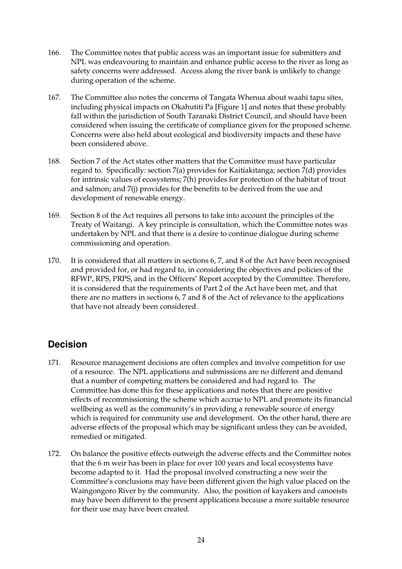- 166. The Committee notes that public access was an important issue for submitters and NPL was endeavouring to maintain and enhance public access to the river as long as safety concerns were addressed. Access along the river bank is unlikely to change during operation of the scheme.
- 167. The Committee also notes the concerns of Tangata Whenua about waahi tapu sites, including physical impacts on Okahutiti Pa [Figure 1] and notes that these probably fall within the jurisdiction of South Taranaki District Council, and should have been considered when issuing the certificate of compliance given for the proposed scheme. Concerns were also held about ecological and biodiversity impacts and these have been considered above.
- 168. Section 7 of the Act states other matters that the Committee must have particular regard to. Specifically: section 7(a) provides for Kaitiakitanga; section 7(d) provides for intrinsic values of ecosystems; 7(h) provides for protection of the habitat of trout and salmon; and 7(j) provides for the benefits to be derived from the use and development of renewable energy.
- 169. Section 8 of the Act requires all persons to take into account the principles of the Treaty of Waitangi. A key principle is consultation, which the Committee notes was undertaken by NPL and that there is a desire to continue dialogue during scheme commissioning and operation.
- 170. It is considered that all matters in sections 6, 7, and 8 of the Act have been recognised and provided for, or had regard to, in considering the objectives and policies of the RFWP, RPS, PRPS, and in the Officers' Report accepted by the Committee. Therefore, it is considered that the requirements of Part 2 of the Act have been met, and that there are no matters in sections 6, 7 and 8 of the Act of relevance to the applications that have not already been considered.

# **Decision**

- 171. Resource management decisions are often complex and involve competition for use of a resource. The NPL applications and submissions are no different and demand that a number of competing matters be considered and had regard to. The Committee has done this for these applications and notes that there are positive effects of recommissioning the scheme which accrue to NPL and promote its financial wellbeing as well as the community's in providing a renewable source of energy which is required for community use and development. On the other hand, there are adverse effects of the proposal which may be significant unless they can be avoided, remedied or mitigated.
- 172. On balance the positive effects outweigh the adverse effects and the Committee notes that the 6 m weir has been in place for over 100 years and local ecosystems have become adapted to it. Had the proposal involved constructing a new weir the Committee's conclusions may have been different given the high value placed on the Waingongoro River by the community. Also, the position of kayakers and canoeists may have been different to the present applications because a more suitable resource for their use may have been created.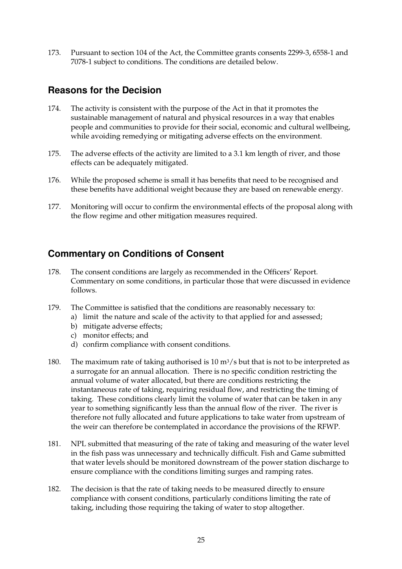173. Pursuant to section 104 of the Act, the Committee grants consents 2299-3, 6558-1 and 7078-1 subject to conditions. The conditions are detailed below.

## **Reasons for the Decision**

- 174. The activity is consistent with the purpose of the Act in that it promotes the sustainable management of natural and physical resources in a way that enables people and communities to provide for their social, economic and cultural wellbeing, while avoiding remedying or mitigating adverse effects on the environment.
- 175. The adverse effects of the activity are limited to a 3.1 km length of river, and those effects can be adequately mitigated.
- 176. While the proposed scheme is small it has benefits that need to be recognised and these benefits have additional weight because they are based on renewable energy.
- 177. Monitoring will occur to confirm the environmental effects of the proposal along with the flow regime and other mitigation measures required.

## **Commentary on Conditions of Consent**

- 178. The consent conditions are largely as recommended in the Officers' Report. Commentary on some conditions, in particular those that were discussed in evidence follows.
- 179. The Committee is satisfied that the conditions are reasonably necessary to:
	- a) limit the nature and scale of the activity to that applied for and assessed;
		- b) mitigate adverse effects;
		- c) monitor effects; and
		- d) confirm compliance with consent conditions.
- 180. The maximum rate of taking authorised is  $10 \text{ m}^3/\text{s}$  but that is not to be interpreted as a surrogate for an annual allocation. There is no specific condition restricting the annual volume of water allocated, but there are conditions restricting the instantaneous rate of taking, requiring residual flow, and restricting the timing of taking. These conditions clearly limit the volume of water that can be taken in any year to something significantly less than the annual flow of the river. The river is therefore not fully allocated and future applications to take water from upstream of the weir can therefore be contemplated in accordance the provisions of the RFWP.
- 181. NPL submitted that measuring of the rate of taking and measuring of the water level in the fish pass was unnecessary and technically difficult. Fish and Game submitted that water levels should be monitored downstream of the power station discharge to ensure compliance with the conditions limiting surges and ramping rates.
- 182. The decision is that the rate of taking needs to be measured directly to ensure compliance with consent conditions, particularly conditions limiting the rate of taking, including those requiring the taking of water to stop altogether.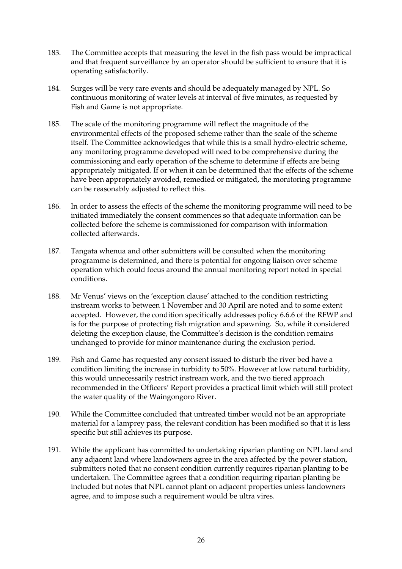- 183. The Committee accepts that measuring the level in the fish pass would be impractical and that frequent surveillance by an operator should be sufficient to ensure that it is operating satisfactorily.
- 184. Surges will be very rare events and should be adequately managed by NPL. So continuous monitoring of water levels at interval of five minutes, as requested by Fish and Game is not appropriate.
- 185. The scale of the monitoring programme will reflect the magnitude of the environmental effects of the proposed scheme rather than the scale of the scheme itself. The Committee acknowledges that while this is a small hydro-electric scheme, any monitoring programme developed will need to be comprehensive during the commissioning and early operation of the scheme to determine if effects are being appropriately mitigated. If or when it can be determined that the effects of the scheme have been appropriately avoided, remedied or mitigated, the monitoring programme can be reasonably adjusted to reflect this.
- 186. In order to assess the effects of the scheme the monitoring programme will need to be initiated immediately the consent commences so that adequate information can be collected before the scheme is commissioned for comparison with information collected afterwards.
- 187. Tangata whenua and other submitters will be consulted when the monitoring programme is determined, and there is potential for ongoing liaison over scheme operation which could focus around the annual monitoring report noted in special conditions.
- 188. Mr Venus' views on the 'exception clause' attached to the condition restricting instream works to between 1 November and 30 April are noted and to some extent accepted. However, the condition specifically addresses policy 6.6.6 of the RFWP and is for the purpose of protecting fish migration and spawning. So, while it considered deleting the exception clause, the Committee's decision is the condition remains unchanged to provide for minor maintenance during the exclusion period.
- 189. Fish and Game has requested any consent issued to disturb the river bed have a condition limiting the increase in turbidity to 50%. However at low natural turbidity, this would unnecessarily restrict instream work, and the two tiered approach recommended in the Officers' Report provides a practical limit which will still protect the water quality of the Waingongoro River.
- 190. While the Committee concluded that untreated timber would not be an appropriate material for a lamprey pass, the relevant condition has been modified so that it is less specific but still achieves its purpose.
- 191. While the applicant has committed to undertaking riparian planting on NPL land and any adjacent land where landowners agree in the area affected by the power station, submitters noted that no consent condition currently requires riparian planting to be undertaken. The Committee agrees that a condition requiring riparian planting be included but notes that NPL cannot plant on adjacent properties unless landowners agree, and to impose such a requirement would be ultra vires.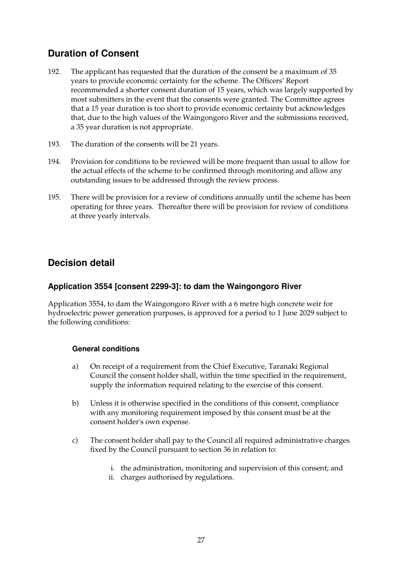# **Duration of Consent**

- 192. The applicant has requested that the duration of the consent be a maximum of 35 years to provide economic certainty for the scheme. The Officers' Report recommended a shorter consent duration of 15 years, which was largely supported by most submitters in the event that the consents were granted. The Committee agrees that a 15 year duration is too short to provide economic certainty but acknowledges that, due to the high values of the Waingongoro River and the submissions received, a 35 year duration is not appropriate.
- 193. The duration of the consents will be 21 years.
- 194. Provision for conditions to be reviewed will be more frequent than usual to allow for the actual effects of the scheme to be confirmed through monitoring and allow any outstanding issues to be addressed through the review process.
- 195. There will be provision for a review of conditions annually until the scheme has been operating for three years. Thereafter there will be provision for review of conditions at three yearly intervals.

# **Decision detail**

## **Application 3554 [consent 2299-3]: to dam the Waingongoro River**

Application 3554, to dam the Waingongoro River with a 6 metre high concrete weir for hydroelectric power generation purposes, is approved for a period to 1 June 2029 subject to the following conditions:

#### **General conditions**

- a) On receipt of a requirement from the Chief Executive, Taranaki Regional Council the consent holder shall, within the time specified in the requirement, supply the information required relating to the exercise of this consent.
- b) Unless it is otherwise specified in the conditions of this consent, compliance with any monitoring requirement imposed by this consent must be at the consent holder's own expense.
- c) The consent holder shall pay to the Council all required administrative charges fixed by the Council pursuant to section 36 in relation to:
	- i. the administration, monitoring and supervision of this consent; and
	- ii. charges authorised by regulations.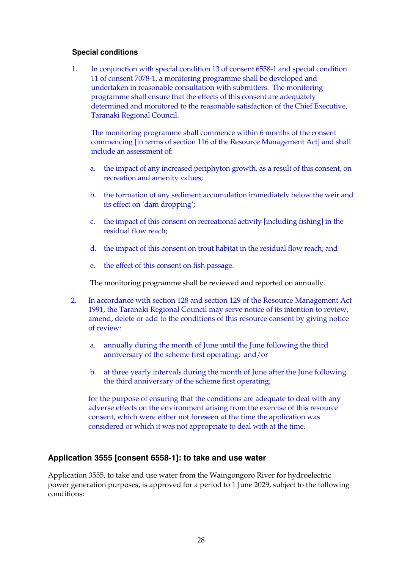#### **Special conditions**

1. In conjunction with special condition 13 of consent 6558-1 and special condition 11 of consent 7078-1, a monitoring programme shall be developed and undertaken in reasonable consultation with submitters. The monitoring programme shall ensure that the effects of this consent are adequately determined and monitored to the reasonable satisfaction of the Chief Executive, Taranaki Regional Council.

The monitoring programme shall commence within 6 months of the consent commencing [in terms of section 116 of the Resource Management Act] and shall include an assessment of:

- a. the impact of any increased periphyton growth, as a result of this consent, on recreation and amenity values;
- b. the formation of any sediment accumulation immediately below the weir and its effect on 'dam dropping';
- c. the impact of this consent on recreational activity [including fishing] in the residual flow reach;
- d. the impact of this consent on trout habitat in the residual flow reach; and
- e. the effect of this consent on fish passage.

The monitoring programme shall be reviewed and reported on annually.

- 2. In accordance with section 128 and section 129 of the Resource Management Act 1991, the Taranaki Regional Council may serve notice of its intention to review, amend, delete or add to the conditions of this resource consent by giving notice of review:
	- a. annually during the month of June until the June following the third anniversary of the scheme first operating; and/or
	- b. at three yearly intervals during the month of June after the June following the third anniversary of the scheme first operating;

for the purpose of ensuring that the conditions are adequate to deal with any adverse effects on the environment arising from the exercise of this resource consent, which were either not foreseen at the time the application was considered or which it was not appropriate to deal with at the time.

#### **Application 3555 [consent 6558-1]: to take and use water**

Application 3555, to take and use water from the Waingongoro River for hydroelectric power generation purposes, is approved for a period to 1 June 2029, subject to the following conditions: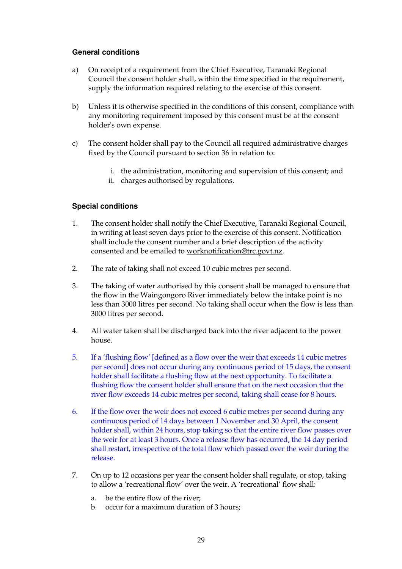#### **General conditions**

- a) On receipt of a requirement from the Chief Executive, Taranaki Regional Council the consent holder shall, within the time specified in the requirement, supply the information required relating to the exercise of this consent.
- b) Unless it is otherwise specified in the conditions of this consent, compliance with any monitoring requirement imposed by this consent must be at the consent holder's own expense.
- c) The consent holder shall pay to the Council all required administrative charges fixed by the Council pursuant to section 36 in relation to:
	- i. the administration, monitoring and supervision of this consent; and
	- ii. charges authorised by regulations.

#### **Special conditions**

- 1. The consent holder shall notify the Chief Executive, Taranaki Regional Council, in writing at least seven days prior to the exercise of this consent. Notification shall include the consent number and a brief description of the activity consented and be emailed to worknotification@trc.govt.nz.
- 2. The rate of taking shall not exceed 10 cubic metres per second.
- 3. The taking of water authorised by this consent shall be managed to ensure that the flow in the Waingongoro River immediately below the intake point is no less than 3000 litres per second. No taking shall occur when the flow is less than 3000 litres per second.
- 4. All water taken shall be discharged back into the river adjacent to the power house.
- 5. If a 'flushing flow' [defined as a flow over the weir that exceeds 14 cubic metres per second] does not occur during any continuous period of 15 days, the consent holder shall facilitate a flushing flow at the next opportunity. To facilitate a flushing flow the consent holder shall ensure that on the next occasion that the river flow exceeds 14 cubic metres per second, taking shall cease for 8 hours.
- 6. If the flow over the weir does not exceed 6 cubic metres per second during any continuous period of 14 days between 1 November and 30 April, the consent holder shall, within 24 hours, stop taking so that the entire river flow passes over the weir for at least 3 hours. Once a release flow has occurred, the 14 day period shall restart, irrespective of the total flow which passed over the weir during the release.
- 7. On up to 12 occasions per year the consent holder shall regulate, or stop, taking to allow a 'recreational flow' over the weir. A 'recreational' flow shall:
	- a. be the entire flow of the river;
	- b. occur for a maximum duration of 3 hours;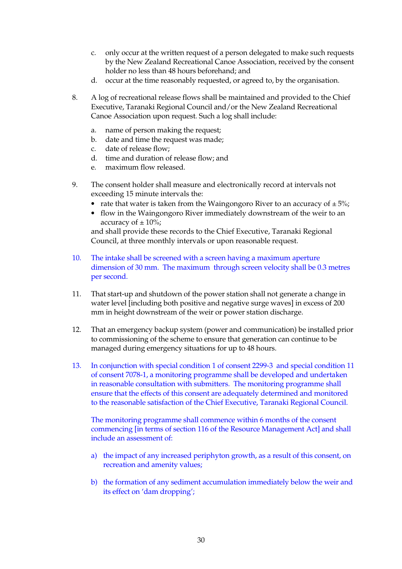- c. only occur at the written request of a person delegated to make such requests by the New Zealand Recreational Canoe Association, received by the consent holder no less than 48 hours beforehand; and
- d. occur at the time reasonably requested, or agreed to, by the organisation.
- 8. A log of recreational release flows shall be maintained and provided to the Chief Executive, Taranaki Regional Council and/or the New Zealand Recreational Canoe Association upon request. Such a log shall include:
	- a. name of person making the request;
	- b. date and time the request was made;
	- c. date of release flow;
	- d. time and duration of release flow; and
	- e. maximum flow released.
- 9. The consent holder shall measure and electronically record at intervals not exceeding 15 minute intervals the:
	- rate that water is taken from the Waingongoro River to an accuracy of  $\pm 5\%$ ;
	- flow in the Waingongoro River immediately downstream of the weir to an accuracy of  $\pm 10\%$ ;

and shall provide these records to the Chief Executive, Taranaki Regional Council, at three monthly intervals or upon reasonable request.

- 10. The intake shall be screened with a screen having a maximum aperture dimension of 30 mm. The maximum through screen velocity shall be 0.3 metres per second.
- 11. That start-up and shutdown of the power station shall not generate a change in water level [including both positive and negative surge waves] in excess of 200 mm in height downstream of the weir or power station discharge.
- 12. That an emergency backup system (power and communication) be installed prior to commissioning of the scheme to ensure that generation can continue to be managed during emergency situations for up to 48 hours.
- 13. In conjunction with special condition 1 of consent 2299-3 and special condition 11 of consent 7078-1, a monitoring programme shall be developed and undertaken in reasonable consultation with submitters. The monitoring programme shall ensure that the effects of this consent are adequately determined and monitored to the reasonable satisfaction of the Chief Executive, Taranaki Regional Council.

The monitoring programme shall commence within 6 months of the consent commencing [in terms of section 116 of the Resource Management Act] and shall include an assessment of:

- a) the impact of any increased periphyton growth, as a result of this consent, on recreation and amenity values;
- b) the formation of any sediment accumulation immediately below the weir and its effect on 'dam dropping';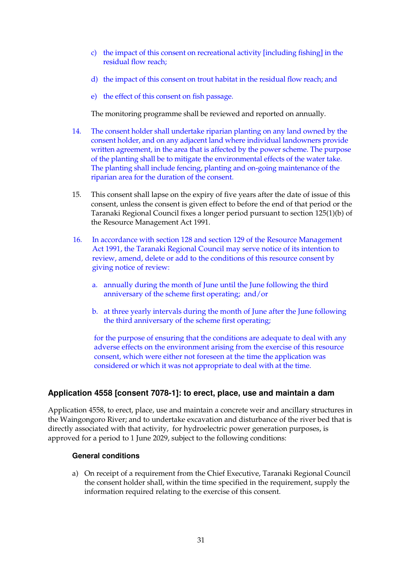- c) the impact of this consent on recreational activity [including fishing] in the residual flow reach;
- d) the impact of this consent on trout habitat in the residual flow reach; and
- e) the effect of this consent on fish passage.

The monitoring programme shall be reviewed and reported on annually.

- 14. The consent holder shall undertake riparian planting on any land owned by the consent holder, and on any adjacent land where individual landowners provide written agreement, in the area that is affected by the power scheme. The purpose of the planting shall be to mitigate the environmental effects of the water take. The planting shall include fencing, planting and on-going maintenance of the riparian area for the duration of the consent.
- 15. This consent shall lapse on the expiry of five years after the date of issue of this consent, unless the consent is given effect to before the end of that period or the Taranaki Regional Council fixes a longer period pursuant to section 125(1)(b) of the Resource Management Act 1991.
- 16. In accordance with section 128 and section 129 of the Resource Management Act 1991, the Taranaki Regional Council may serve notice of its intention to review, amend, delete or add to the conditions of this resource consent by giving notice of review:
	- a. annually during the month of June until the June following the third anniversary of the scheme first operating; and/or
	- b. at three yearly intervals during the month of June after the June following the third anniversary of the scheme first operating;

for the purpose of ensuring that the conditions are adequate to deal with any adverse effects on the environment arising from the exercise of this resource consent, which were either not foreseen at the time the application was considered or which it was not appropriate to deal with at the time.

## **Application 4558 [consent 7078-1]: to erect, place, use and maintain a dam**

Application 4558, to erect, place, use and maintain a concrete weir and ancillary structures in the Waingongoro River; and to undertake excavation and disturbance of the river bed that is directly associated with that activity, for hydroelectric power generation purposes, is approved for a period to 1 June 2029, subject to the following conditions:

#### **General conditions**

a) On receipt of a requirement from the Chief Executive, Taranaki Regional Council the consent holder shall, within the time specified in the requirement, supply the information required relating to the exercise of this consent.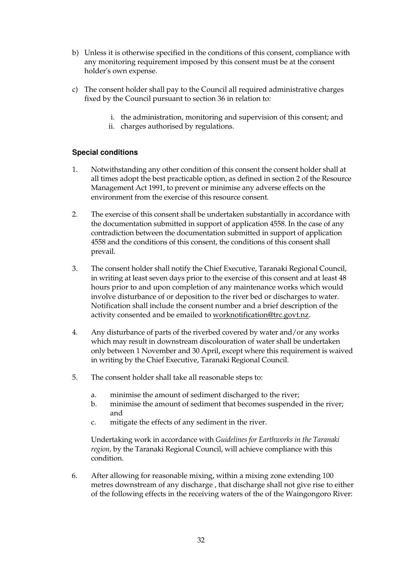- b) Unless it is otherwise specified in the conditions of this consent, compliance with any monitoring requirement imposed by this consent must be at the consent holder's own expense.
- c) The consent holder shall pay to the Council all required administrative charges fixed by the Council pursuant to section 36 in relation to:
	- i. the administration, monitoring and supervision of this consent; and
	- ii. charges authorised by regulations.

#### **Special conditions**

- 1. Notwithstanding any other condition of this consent the consent holder shall at all times adopt the best practicable option, as defined in section 2 of the Resource Management Act 1991, to prevent or minimise any adverse effects on the environment from the exercise of this resource consent.
- 2. The exercise of this consent shall be undertaken substantially in accordance with the documentation submitted in support of application 4558. In the case of any contradiction between the documentation submitted in support of application 4558 and the conditions of this consent, the conditions of this consent shall prevail.
- 3. The consent holder shall notify the Chief Executive, Taranaki Regional Council, in writing at least seven days prior to the exercise of this consent and at least 48 hours prior to and upon completion of any maintenance works which would involve disturbance of or deposition to the river bed or discharges to water. Notification shall include the consent number and a brief description of the activity consented and be emailed to worknotification@trc.govt.nz.
- 4. Any disturbance of parts of the riverbed covered by water and/or any works which may result in downstream discolouration of water shall be undertaken only between 1 November and 30 April, except where this requirement is waived in writing by the Chief Executive, Taranaki Regional Council.
- 5. The consent holder shall take all reasonable steps to:
	- a. minimise the amount of sediment discharged to the river;
	- b. minimise the amount of sediment that becomes suspended in the river; and
	- c. mitigate the effects of any sediment in the river.

Undertaking work in accordance with *Guidelines for Earthworks in the Taranaki region,* by the Taranaki Regional Council, will achieve compliance with this condition.

6. After allowing for reasonable mixing, within a mixing zone extending 100 metres downstream of any discharge , that discharge shall not give rise to either of the following effects in the receiving waters of the of the Waingongoro River: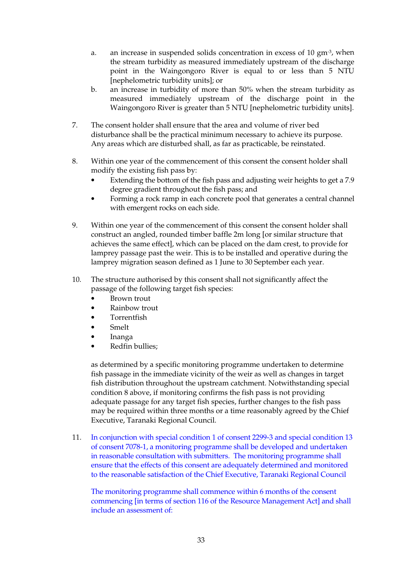- a. an increase in suspended solids concentration in excess of  $10 \text{ gm}^3$ , when the stream turbidity as measured immediately upstream of the discharge point in the Waingongoro River is equal to or less than 5 NTU [nephelometric turbidity units]; or
- b. an increase in turbidity of more than 50% when the stream turbidity as measured immediately upstream of the discharge point in the Waingongoro River is greater than 5 NTU [nephelometric turbidity units].
- 7. The consent holder shall ensure that the area and volume of river bed disturbance shall be the practical minimum necessary to achieve its purpose. Any areas which are disturbed shall, as far as practicable, be reinstated.
- 8. Within one year of the commencement of this consent the consent holder shall modify the existing fish pass by:
	- Extending the bottom of the fish pass and adjusting weir heights to get a 7.9 degree gradient throughout the fish pass; and
	- Forming a rock ramp in each concrete pool that generates a central channel with emergent rocks on each side.
- 9. Within one year of the commencement of this consent the consent holder shall construct an angled, rounded timber baffle 2m long [or similar structure that achieves the same effect], which can be placed on the dam crest, to provide for lamprey passage past the weir. This is to be installed and operative during the lamprey migration season defined as 1 June to 30 September each year.
- 10. The structure authorised by this consent shall not significantly affect the passage of the following target fish species:
	- Brown trout
	- Rainbow trout
	- Torrentfish
	- Smelt
	- Inanga
	- Redfin bullies;

as determined by a specific monitoring programme undertaken to determine fish passage in the immediate vicinity of the weir as well as changes in target fish distribution throughout the upstream catchment. Notwithstanding special condition 8 above, if monitoring confirms the fish pass is not providing adequate passage for any target fish species, further changes to the fish pass may be required within three months or a time reasonably agreed by the Chief Executive, Taranaki Regional Council.

11. In conjunction with special condition 1 of consent 2299-3 and special condition 13 of consent 7078-1, a monitoring programme shall be developed and undertaken in reasonable consultation with submitters. The monitoring programme shall ensure that the effects of this consent are adequately determined and monitored to the reasonable satisfaction of the Chief Executive, Taranaki Regional Council

The monitoring programme shall commence within 6 months of the consent commencing [in terms of section 116 of the Resource Management Act] and shall include an assessment of: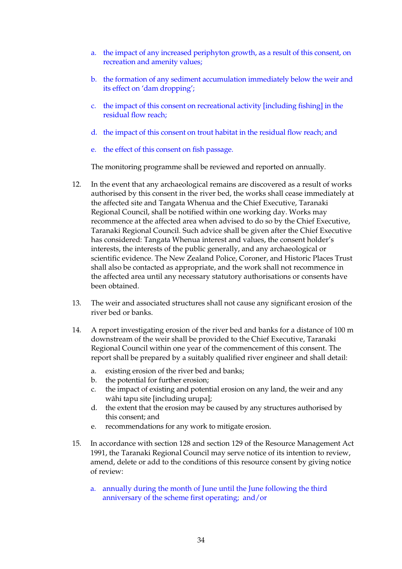- a. the impact of any increased periphyton growth, as a result of this consent, on recreation and amenity values;
- b. the formation of any sediment accumulation immediately below the weir and its effect on 'dam dropping';
- c. the impact of this consent on recreational activity [including fishing] in the residual flow reach;
- d. the impact of this consent on trout habitat in the residual flow reach; and
- e. the effect of this consent on fish passage.

The monitoring programme shall be reviewed and reported on annually.

- 12. In the event that any archaeological remains are discovered as a result of works authorised by this consent in the river bed, the works shall cease immediately at the affected site and Tangata Whenua and the Chief Executive, Taranaki Regional Council, shall be notified within one working day. Works may recommence at the affected area when advised to do so by the Chief Executive, Taranaki Regional Council. Such advice shall be given after the Chief Executive has considered: Tangata Whenua interest and values, the consent holder's interests, the interests of the public generally, and any archaeological or scientific evidence. The New Zealand Police, Coroner, and Historic Places Trust shall also be contacted as appropriate, and the work shall not recommence in the affected area until any necessary statutory authorisations or consents have been obtained.
- 13. The weir and associated structures shall not cause any significant erosion of the river bed or banks.
- 14. A report investigating erosion of the river bed and banks for a distance of 100 m downstream of the weir shall be provided to the Chief Executive, Taranaki Regional Council within one year of the commencement of this consent. The report shall be prepared by a suitably qualified river engineer and shall detail:
	- a. existing erosion of the river bed and banks;
	- b. the potential for further erosion;
	- c. the impact of existing and potential erosion on any land, the weir and any wāhi tapu site [including urupa];
	- d. the extent that the erosion may be caused by any structures authorised by this consent; and
	- e. recommendations for any work to mitigate erosion.
- 15. In accordance with section 128 and section 129 of the Resource Management Act 1991, the Taranaki Regional Council may serve notice of its intention to review, amend, delete or add to the conditions of this resource consent by giving notice of review:
	- a. annually during the month of June until the June following the third anniversary of the scheme first operating; and/or